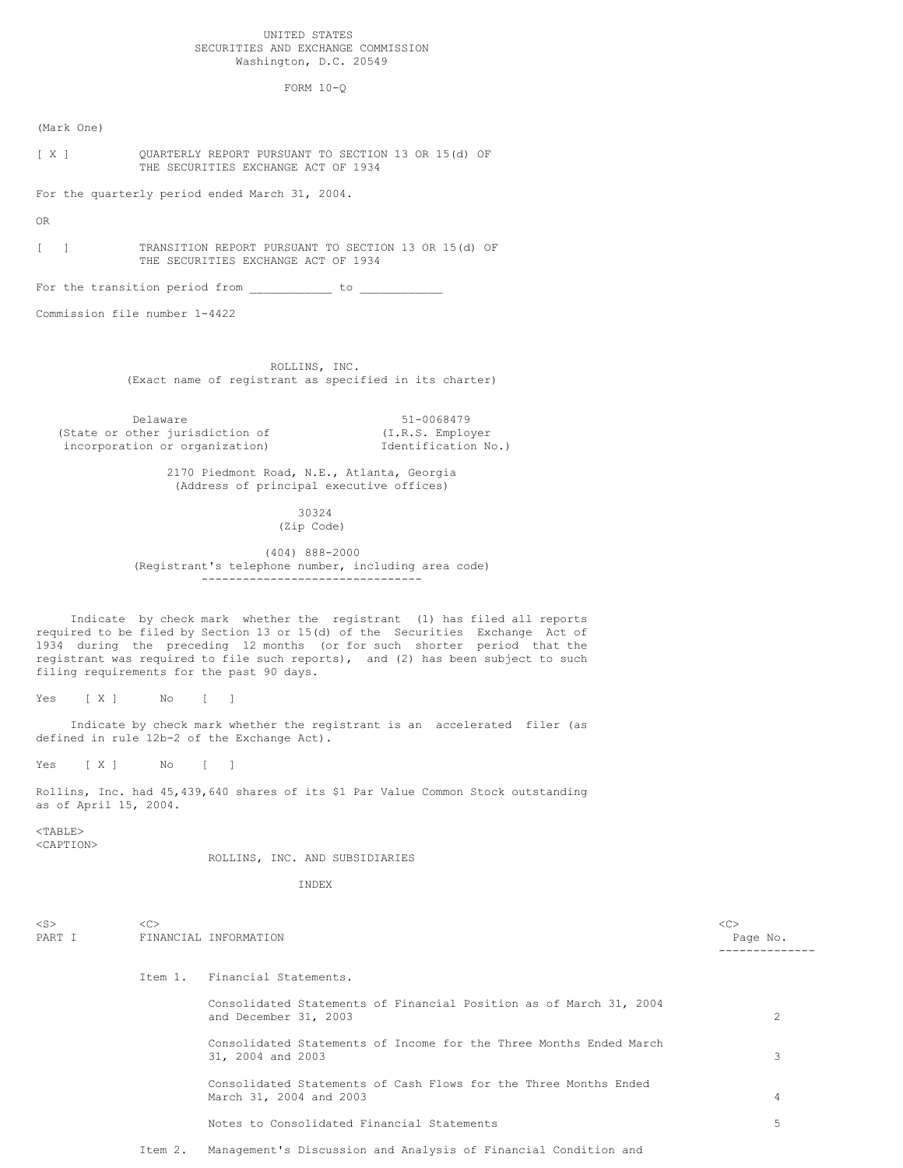## UNITED STATES SECURITIES AND EXCHANGE COMMISSION Washington, D.C. 20549

FORM 10-Q

(Mark One)

[ X ] QUARTERLY REPORT PURSUANT TO SECTION 13 OR 15(d) OF THE SECURITIES EXCHANGE ACT OF 1934

For the quarterly period ended March 31, 2004.

OR

[ ] TRANSITION REPORT PURSUANT TO SECTION 13 OR 15(d) OF THE SECURITIES EXCHANGE ACT OF 1934

For the transition period from  $\frac{1}{\sqrt{1-\frac{1}{n}}}$  to  $\frac{1}{\sqrt{1-\frac{1}{n}}}$ 

Commission file number 1-4422

ROLLINS, INC. (Exact name of registrant as specified in its charter)

Delaware 51-0068479<br>
other iurisdiction of (I.R.S. Employer (State or other jurisdiction of incorporation or organization) and identification No.)

> 2170 Piedmont Road, N.E., Atlanta, Georgia (Address of principal executive offices)

> > 30324 (Zip Code)

(404) 888-2000 (Registrant's telephone number, including area code) --------------------------------

Indicate by check mark whether the registrant (1) has filed all reports required to be filed by Section 13 or 15(d) of the Securities Exchange Act of 1934 during the preceding 12 months (or for such shorter period that the registrant was required to file such reports), and (2) has been subject to such filing requirements for the past 90 days.

Yes [ X ] No [ ]

Indicate by check mark whether the registrant is an accelerated filer (as defined in rule 12b-2 of the Exchange Act).

Yes [ X ] No [ ]

Rollins, Inc. had 45,439,640 shares of its \$1 Par Value Common Stock outstanding as of April 15, 2004.

<TABLE> <CAPTION>

ROLLINS, INC. AND SUBSIDIARIES

INDEX

| $<$ S $>$<br>PART I | < <sub></sub> | FINANCIAL INFORMATION                                                                       | <<<br>Page No. |
|---------------------|---------------|---------------------------------------------------------------------------------------------|----------------|
|                     |               |                                                                                             |                |
|                     | Item 1.       | Financial Statements.                                                                       |                |
|                     |               | Consolidated Statements of Financial Position as of March 31, 2004<br>and December 31, 2003 | $\mathcal{L}$  |
|                     |               | Consolidated Statements of Income for the Three Months Ended March<br>31, 2004 and 2003     | 3              |
|                     |               | Consolidated Statements of Cash Flows for the Three Months Ended<br>March 31, 2004 and 2003 | $\overline{4}$ |
|                     |               | Notes to Consolidated Financial Statements                                                  | 5              |
|                     | Item 2.       | Management's Discussion and Analysis of Financial Condition and                             |                |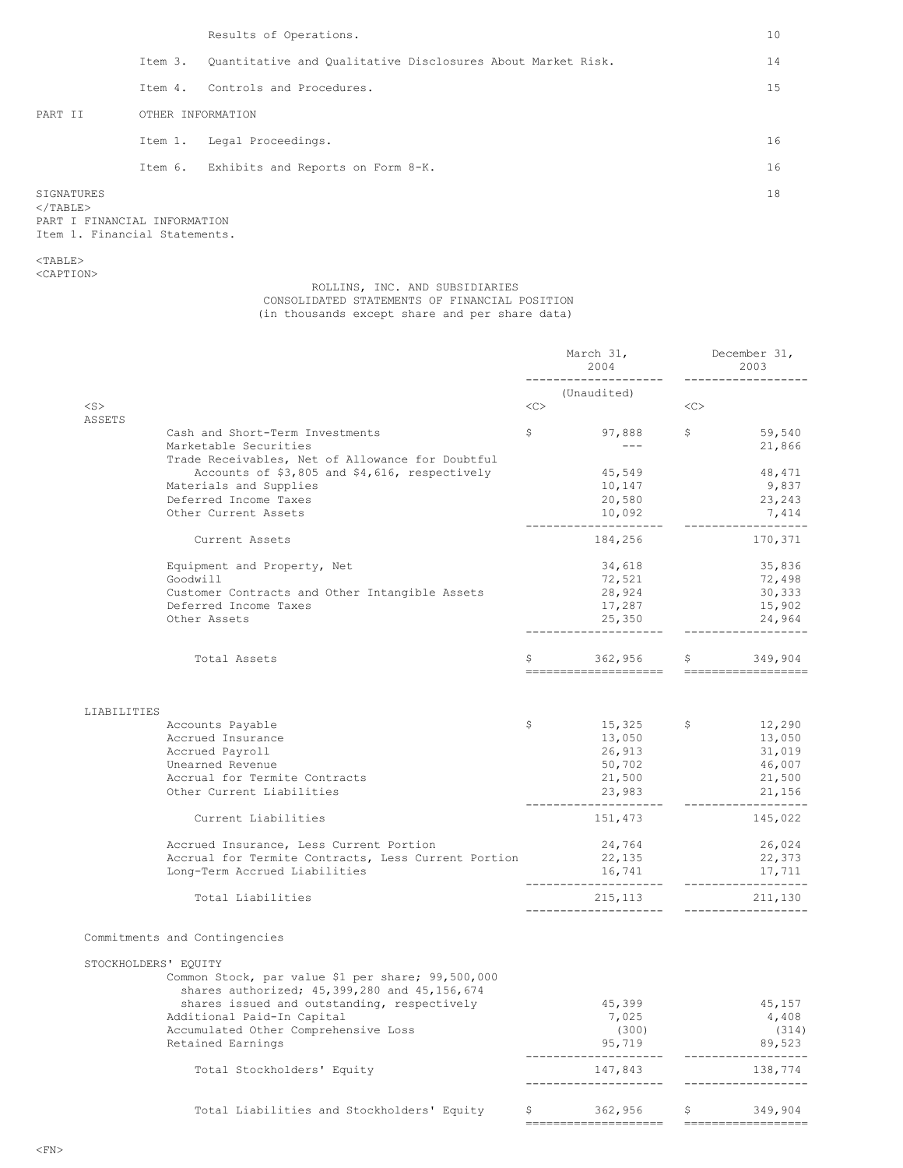|                                 |                   | Results of Operations.                                      | 10 <sup>°</sup> |
|---------------------------------|-------------------|-------------------------------------------------------------|-----------------|
|                                 | Item 3.           | Ouantitative and Oualitative Disclosures About Market Risk. | 14              |
|                                 | Item 4.           | Controls and Procedures.                                    | 15              |
| PART II                         | OTHER INFORMATION |                                                             |                 |
|                                 | Item 1.           | Legal Proceedings.                                          | 16              |
|                                 | Item 6.           | Exhibits and Reports on Form 8-K.                           | 16              |
| SIGNATURES<br>$\langle$ /TABLE> |                   |                                                             | 18              |

 $\langle$ TAB PART I FINANCIAL INFORMATION Item 1. Financial Statements.

 $<$ TABLE> <CAPTION>

PART

## ROLLINS, INC. AND SUBSIDIARIES CONSOLIDATED STATEMENTS OF FINANCIAL POSITION (in thousands except share and per share data)

|             |                                                                           | March 31,<br>2004<br>-------------------- |                                 |    | December 31,<br>2003<br>________________ |  |
|-------------|---------------------------------------------------------------------------|-------------------------------------------|---------------------------------|----|------------------------------------------|--|
| $<$ S $>$   |                                                                           | <<                                        | (Unaudited)                     | << |                                          |  |
| ASSETS      | Cash and Short-Term Investments                                           | S                                         | $97,888$ \$                     |    | 59,540                                   |  |
|             | Marketable Securities<br>Trade Receivables, Net of Allowance for Doubtful |                                           | $- - -$                         |    | 21,866                                   |  |
|             | Accounts of \$3,805 and \$4,616, respectively                             |                                           | 45,549                          |    | 48,471                                   |  |
|             | Materials and Supplies                                                    |                                           | 10,147                          |    | 9,837                                    |  |
|             | Deferred Income Taxes                                                     |                                           | 20,580                          |    | 23,243                                   |  |
|             | Other Current Assets                                                      |                                           | 10,092                          |    | 7,414                                    |  |
|             | Current Assets                                                            |                                           | 184,256                         |    | 170,371                                  |  |
|             | Equipment and Property, Net                                               |                                           | 34,618                          |    | 35,836                                   |  |
|             | Goodwill                                                                  |                                           | 72,521                          |    | 72,498                                   |  |
|             | Customer Contracts and Other Intangible Assets                            |                                           | 28,924                          |    | 30,333                                   |  |
|             | Deferred Income Taxes                                                     |                                           | 17,287                          |    | 15,902                                   |  |
|             | Other Assets                                                              |                                           | 25,350<br>--------------------- |    | 24,964<br>__________________             |  |
|             | Total Assets                                                              |                                           | 362,956                         |    | $\sin 349.904$                           |  |
| LIABILITIES | Accounts Payable                                                          | \$                                        | $15,325$ \$                     |    | 12,290                                   |  |
|             | Accrued Insurance                                                         |                                           | 13,050                          |    |                                          |  |
|             | Accrued Payroll                                                           |                                           | 26,913                          |    | 13,050<br>31,019                         |  |
|             | Unearned Revenue                                                          |                                           | 50,702                          |    | 46,007                                   |  |
|             | Accrual for Termite Contracts                                             |                                           | 21,500                          |    | 21,500                                   |  |
|             | Other Current Liabilities                                                 |                                           | 23,983<br>--------------------  |    | 21,156<br>------------------             |  |
|             | Current Liabilities                                                       |                                           | 151,473                         |    | 145,022                                  |  |
|             | Accrued Insurance, Less Current Portion                                   |                                           | 24,764                          |    | 26,024                                   |  |
|             | Accrual for Termite Contracts, Less Current Portion                       |                                           | 22,135                          |    | 22,373                                   |  |
|             | Long-Term Accrued Liabilities                                             |                                           | 16,741<br>_____________________ |    | 17,711<br>17,711                         |  |
|             | Total Liabilities                                                         |                                           | 215, 113                        |    | 211,130<br>______________                |  |
|             | Commitments and Contingencies                                             |                                           |                                 |    |                                          |  |
|             | STOCKHOLDERS' EQUITY                                                      |                                           |                                 |    |                                          |  |
|             | Common Stock, par value \$1 per share; 99,500,000                         |                                           |                                 |    |                                          |  |
|             | shares authorized; 45,399,280 and 45,156,674                              |                                           |                                 |    |                                          |  |
|             | shares issued and outstanding, respectively                               |                                           | 45,399                          |    | 45,157                                   |  |
|             | Additional Paid-In Capital                                                |                                           | 7,025                           |    | 4,408                                    |  |
|             | Accumulated Other Comprehensive Loss                                      |                                           | (300)                           |    | (314)                                    |  |
|             | Retained Earnings                                                         |                                           | 95,719                          |    | 89,523                                   |  |

-------------------- ------------------ Total Liabilities and Stockholders' Equity ==================== ==================

Total Stockholders' Equity 147,843 138,774

-------------------- ------------------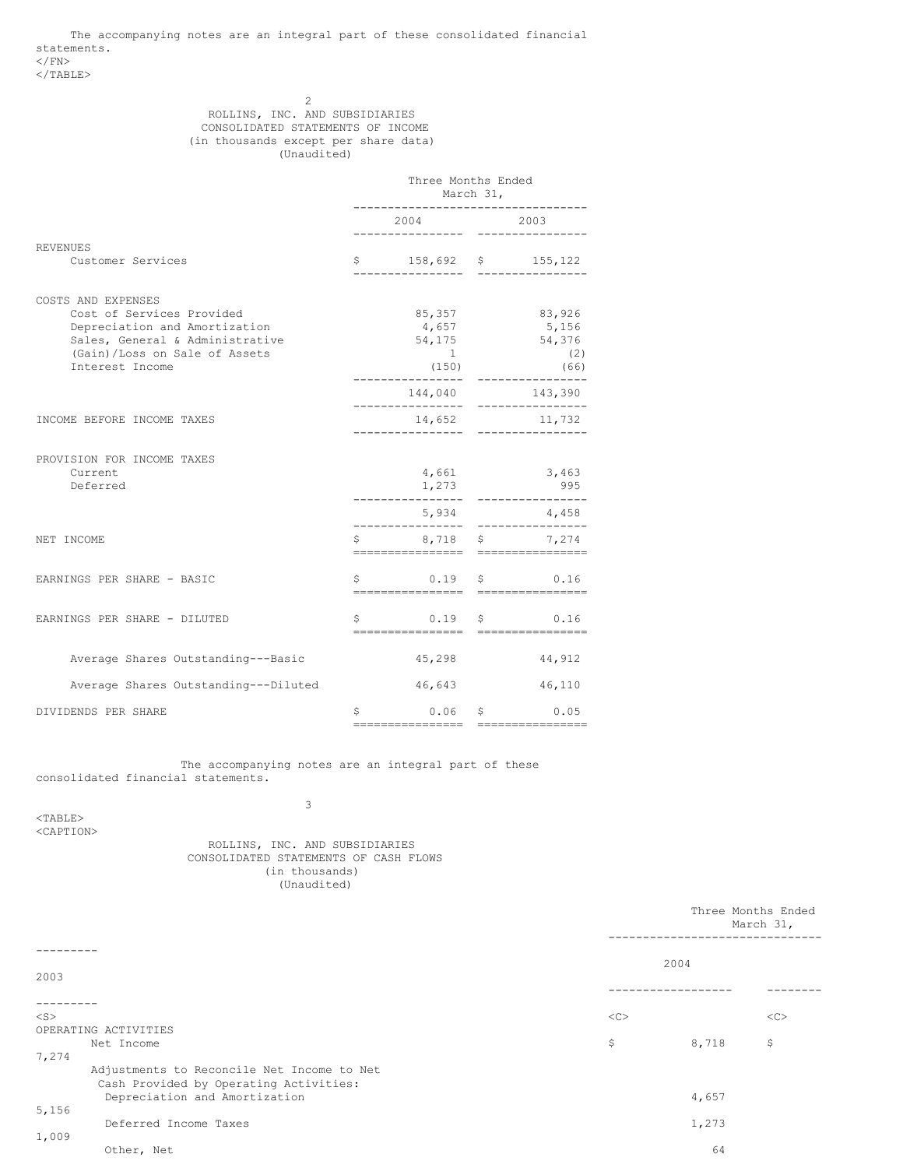2 ROLLINS, INC. AND SUBSIDIARIES CONSOLIDATED STATEMENTS OF INCOME (in thousands except per share data) (Unaudited)

|                                                                                                                                                                         | Three Months Ended<br>March 31, |                                                                       |    |                                          |  |
|-------------------------------------------------------------------------------------------------------------------------------------------------------------------------|---------------------------------|-----------------------------------------------------------------------|----|------------------------------------------|--|
|                                                                                                                                                                         | 2004                            |                                                                       |    | 2003                                     |  |
| <b>REVENUES</b><br>Customer Services                                                                                                                                    | \$                              |                                                                       |    | 158,692 \$ 155,122                       |  |
| COSTS AND EXPENSES<br>Cost of Services Provided<br>Depreciation and Amortization<br>Sales, General & Administrative<br>(Gain)/Loss on Sale of Assets<br>Interest Income |                                 | 85,357<br>4,657<br>54,175<br>$\overline{1}$<br>(150)<br>------------- |    | 83,926<br>5,156<br>54,376<br>(2)<br>(66) |  |
|                                                                                                                                                                         |                                 | 144,040                                                               |    | 143,390<br>----------------              |  |
| INCOME BEFORE INCOME TAXES                                                                                                                                              |                                 | 14,652                                                                |    | 11,732                                   |  |
| PROVISION FOR INCOME TAXES<br>Current<br>Deferred                                                                                                                       |                                 | 4,661<br>1,273                                                        |    | 3,463<br>995                             |  |
| NET INCOME                                                                                                                                                              | Ś                               | 5,934<br>_________________<br>8,718<br>----------------               | S. | 4,458<br>7,274                           |  |
| EARNINGS PER SHARE - BASIC                                                                                                                                              | Ś                               | 0.19<br>===========                                                   | S  | 0.16                                     |  |
| EARNINGS PER SHARE - DILUTED                                                                                                                                            | \$                              | $0.19 \quad \text{S} \quad 0.16$<br>------------                      |    |                                          |  |
| Average Shares Outstanding---Basic                                                                                                                                      |                                 | 45,298                                                                |    | 44,912                                   |  |
| Average Shares Outstanding---Diluted                                                                                                                                    |                                 | 46,643                                                                |    | 46,110                                   |  |
| DIVIDENDS PER SHARE                                                                                                                                                     | \$                              | 0.06                                                                  | \$ | 0.05                                     |  |

The accompanying notes are an integral part of these consolidated financial statements.

<TABLE> <CAPTION> 3

ROLLINS, INC. AND SUBSIDIARIES CONSOLIDATED STATEMENTS OF CASH FLOWS (in thousands) (Unaudited)

|                                            |      | Three Months Ended<br>March 31, |
|--------------------------------------------|------|---------------------------------|
|                                            | 2004 |                                 |
| 2003                                       |      |                                 |
|                                            |      |                                 |
| $<$ S $>$                                  | <<   | $<$ C>                          |
| OPERATING ACTIVITIES                       |      |                                 |
| Net Income<br>7,274                        | \$   | \$<br>8,718                     |
| Adjustments to Reconcile Net Income to Net |      |                                 |
| Cash Provided by Operating Activities:     |      |                                 |
| Depreciation and Amortization              |      | 4,657                           |
| 5,156                                      |      |                                 |
| Deferred Income Taxes                      |      | 1,273                           |
| 1,009<br>Other, Net                        |      | 64                              |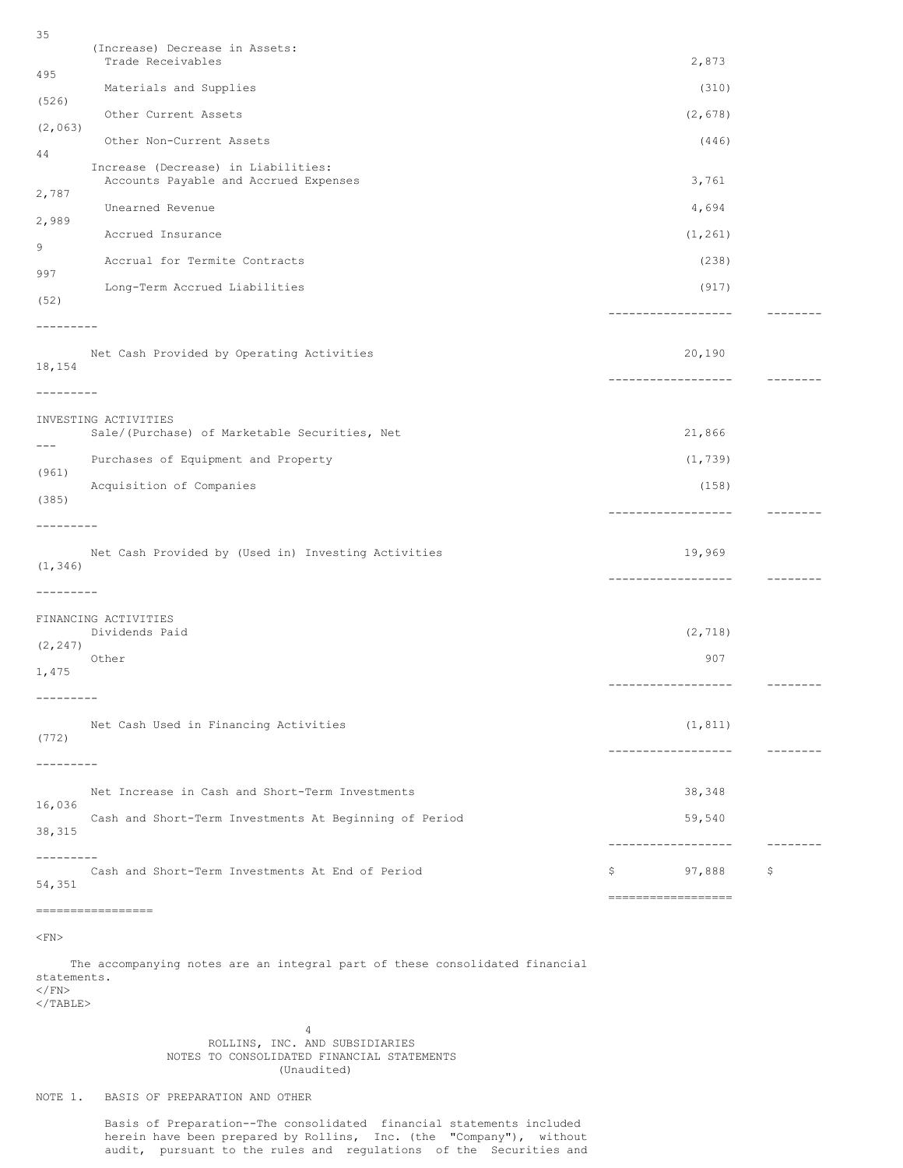| 35                   |                                                                       |                                     |                   |
|----------------------|-----------------------------------------------------------------------|-------------------------------------|-------------------|
|                      | (Increase) Decrease in Assets:<br>Trade Receivables                   | 2,873                               |                   |
| 495                  | Materials and Supplies                                                | (310)                               |                   |
| (526)                | Other Current Assets                                                  | (2, 678)                            |                   |
| (2, 063)             | Other Non-Current Assets                                              | (446)                               |                   |
| 44                   | Increase (Decrease) in Liabilities:                                   |                                     |                   |
| 2,787                | Accounts Payable and Accrued Expenses                                 | 3,761                               |                   |
| 2,989                | Unearned Revenue                                                      | 4,694                               |                   |
| 9                    | Accrued Insurance                                                     | (1, 261)                            |                   |
| 997                  | Accrual for Termite Contracts                                         | (238)                               |                   |
| (52)                 | Long-Term Accrued Liabilities                                         | (917)                               |                   |
| ---------            |                                                                       | ------------------                  |                   |
|                      | Net Cash Provided by Operating Activities                             | 20,190                              |                   |
| 18,154               |                                                                       | ----------------                    |                   |
| $------------$       |                                                                       |                                     |                   |
|                      | INVESTING ACTIVITIES<br>Sale/(Purchase) of Marketable Securities, Net | 21,866                              |                   |
| $---$                | Purchases of Equipment and Property                                   | (1, 739)                            |                   |
| (961)                | Acquisition of Companies                                              | (158)                               |                   |
| (385)                |                                                                       | ------------------                  | --------          |
| ---------            |                                                                       |                                     |                   |
|                      | Net Cash Provided by (Used in) Investing Activities                   | 19,969                              |                   |
| (1, 346)<br>-------- |                                                                       | ------------------                  |                   |
|                      |                                                                       |                                     |                   |
|                      | FINANCING ACTIVITIES<br>Dividends Paid                                | (2, 718)                            |                   |
| (2, 247)             | Other                                                                 | 907                                 |                   |
| 1,475                |                                                                       | ------------------                  |                   |
| ---------            |                                                                       |                                     |                   |
| (772)                | Net Cash Used in Financing Activities                                 | (1, 811)                            |                   |
| ---------            |                                                                       | . _ _ _ _ _ _ _ _ _ _ _ _ _ _ _ _ _ |                   |
|                      | Net Increase in Cash and Short-Term Investments                       | 38,348                              |                   |
| 16,036               | Cash and Short-Term Investments At Beginning of Period                | 59,540                              |                   |
| 38,315               |                                                                       | ------------------                  | $- - - - - - - -$ |
| $------------$       | Cash and Short-Term Investments At End of Period                      | \$<br>97,888                        | \$                |
| 54,351               |                                                                       | ===================                 |                   |
|                      | =================                                                     |                                     |                   |

 ${ <\hspace{-1.5pt}{\rm FN} \hspace{-1.5pt}>}$ 

The accompanying notes are an integral part of these consolidated financial statements.  $\rm  FN>$  $<$ /TABLE>

> 4 ROLLINS, INC. AND SUBSIDIARIES NOTES TO CONSOLIDATED FINANCIAL STATEMENTS (Unaudited)

NOTE 1. BASIS OF PREPARATION AND OTHER

Basis of Preparation--The consolidated financial statements included herein have been prepared by Rollins, Inc. (the "Company"), without audit, pursuant to the rules and regulations of the Securities and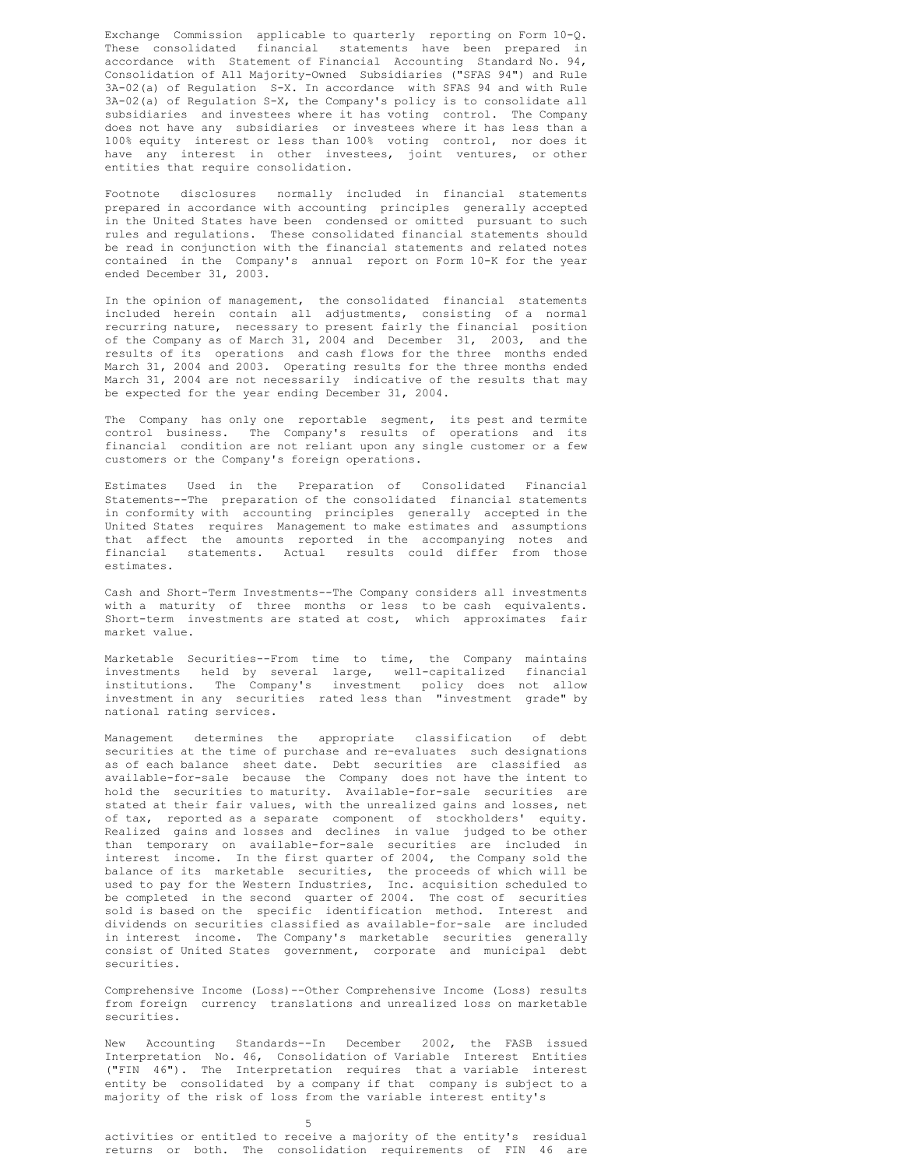Exchange Commission applicable to quarterly reporting on Form 10-Q. These consolidated financial statements have been prepared in accordance with Statement of Financial Accounting Standard No. 94, Consolidation of All Majority-Owned Subsidiaries ("SFAS 94") and Rule 3A-02(a) of Regulation S-X. In accordance with SFAS 94 and with Rule 3A-02(a) of Regulation S-X, the Company's policy is to consolidate all subsidiaries and investees where it has voting control. The Company does not have any subsidiaries or investees where it has less than a 100% equity interest or less than 100% voting control, nor does it have any interest in other investees, joint ventures, or other entities that require consolidation.

Footnote disclosures normally included in financial statements prepared in accordance with accounting principles generally accepted in the United States have been condensed or omitted pursuant to such rules and regulations. These consolidated financial statements should be read in conjunction with the financial statements and related notes contained in the Company's annual report on Form 10-K for the year ended December 31, 2003.

In the opinion of management, the consolidated financial statements included herein contain all adjustments, consisting of a normal recurring nature, necessary to present fairly the financial position of the Company as of March 31, 2004 and December 31, 2003, and the results of its operations and cash flows for the three months ended March 31, 2004 and 2003. Operating results for the three months ended March 31, 2004 are not necessarily indicative of the results that may be expected for the year ending December 31, 2004.

The Company has only one reportable segment, its pest and termite control business. The Company's results of operations and its financial condition are not reliant upon any single customer or a few customers or the Company's foreign operations.

Estimates Used in the Preparation of Consolidated Financial Statements--The preparation of the consolidated financial statements in conformity with accounting principles generally accepted in the United States requires Management to make estimates and assumptions that affect the amounts reported in the accompanying notes and financial statements. Actual results could differ from those estimates.

Cash and Short-Term Investments--The Company considers all investments with a maturity of three months or less to be cash equivalents. Short-term investments are stated at cost, which approximates fair market value.

Marketable Securities--From time to time, the Company maintains investments held by several large, well-capitalized financial institutions. The Company's investment policy does not allow investment in any securities rated less than "investment grade" by national rating services.

Management determines the appropriate classification of debt securities at the time of purchase and re-evaluates such designations as of each balance sheet date. Debt securities are classified as available-for-sale because the Company does not have the intent to hold the securities to maturity. Available-for-sale securities are stated at their fair values, with the unrealized gains and losses, net of tax, reported as a separate component of stockholders' equity. Realized gains and losses and declines in value judged to be other than temporary on available-for-sale securities are included in interest income. In the first quarter of 2004, the Company sold the balance of its marketable securities, the proceeds of which will be used to pay for the Western Industries, Inc. acquisition scheduled to be completed in the second quarter of 2004. The cost of securities sold is based on the specific identification method. Interest and dividends on securities classified as available-for-sale are included in interest income. The Company's marketable securities generally consist of United States government, corporate and municipal debt securities.

Comprehensive Income (Loss)--Other Comprehensive Income (Loss) results from foreign currency translations and unrealized loss on marketable securities.

New Accounting Standards--In December 2002, the FASB issued Interpretation No. 46, Consolidation of Variable Interest Entities ("FIN 46"). The Interpretation requires that a variable interest entity be consolidated by a company if that company is subject to a majority of the risk of loss from the variable interest entity's

5

activities or entitled to receive a majority of the entity's residual returns or both. The consolidation requirements of FIN 46 are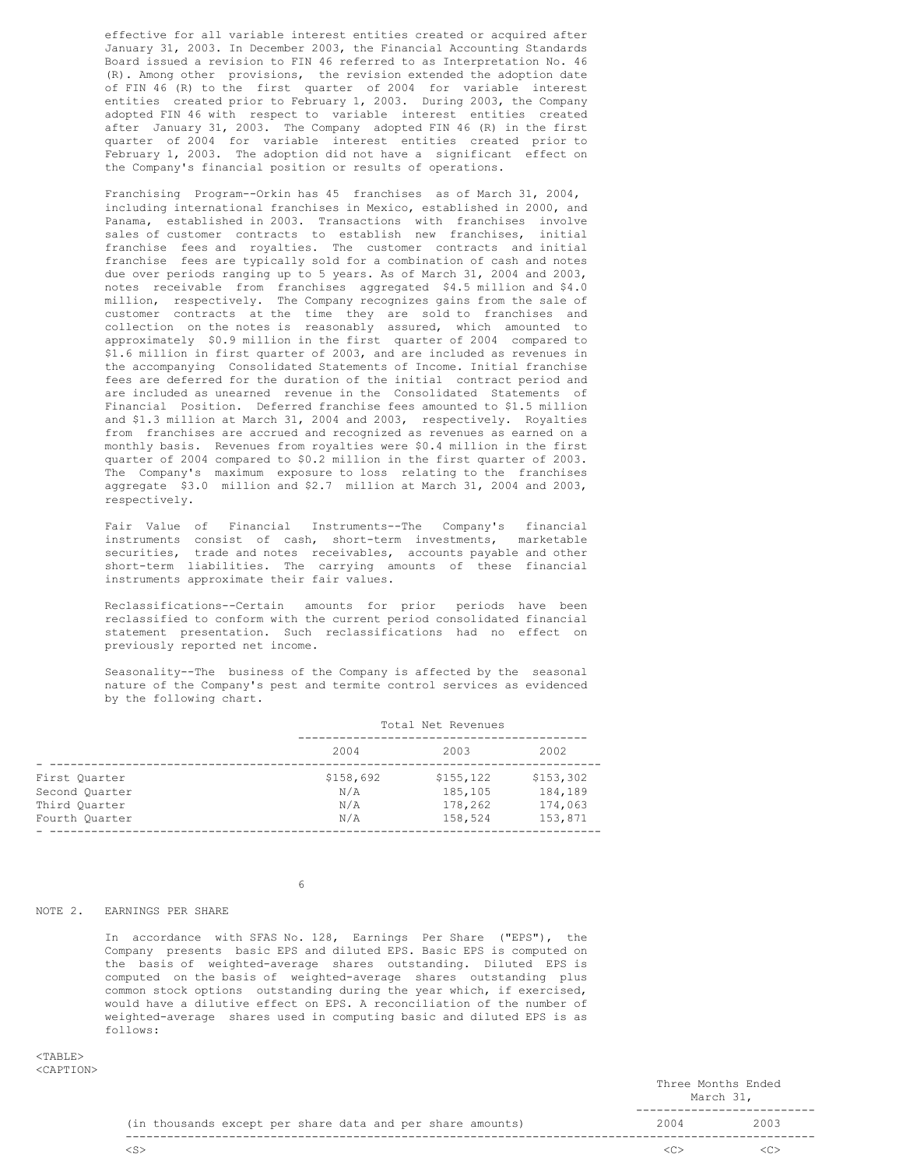effective for all variable interest entities created or acquired after January 31, 2003. In December 2003, the Financial Accounting Standards Board issued a revision to FIN 46 referred to as Interpretation No. 46 (R). Among other provisions, the revision extended the adoption date of FIN 46 (R) to the first quarter of 2004 for variable interest entities created prior to February 1, 2003. During 2003, the Company adopted FIN 46 with respect to variable interest entities created after January 31, 2003. The Company adopted FIN 46 (R) in the first quarter of 2004 for variable interest entities created prior to February 1, 2003. The adoption did not have a significant effect on the Company's financial position or results of operations.

Franchising Program--Orkin has 45 franchises as of March 31, 2004, including international franchises in Mexico, established in 2000, and Panama, established in 2003. Transactions with franchises involve sales of customer contracts to establish new franchises, initial franchise fees and royalties. The customer contracts and initial franchise fees are typically sold for a combination of cash and notes due over periods ranging up to 5 years. As of March 31, 2004 and 2003, notes receivable from franchises aggregated \$4.5 million and \$4.0 million, respectively. The Company recognizes gains from the sale of customer contracts at the time they are sold to franchises and collection on the notes is reasonably assured, which amounted to approximately \$0.9 million in the first quarter of 2004 compared to \$1.6 million in first quarter of 2003, and are included as revenues in the accompanying Consolidated Statements of Income. Initial franchise fees are deferred for the duration of the initial contract period and are included as unearned revenue in the Consolidated Statements of Financial Position. Deferred franchise fees amounted to \$1.5 million and \$1.3 million at March 31, 2004 and 2003, respectively. Royalties from franchises are accrued and recognized as revenues as earned on a monthly basis. Revenues from royalties were \$0.4 million in the first quarter of 2004 compared to \$0.2 million in the first quarter of 2003. The Company's maximum exposure to loss relating to the franchises aggregate \$3.0 million and \$2.7 million at March 31, 2004 and 2003, respectively.

Fair Value of Financial Instruments--The Company's financial instruments consist of cash, short-term investments, marketable securities, trade and notes receivables, accounts payable and other short-term liabilities. The carrying amounts of these financial instruments approximate their fair values.

Reclassifications--Certain amounts for prior periods have been reclassified to conform with the current period consolidated financial statement presentation. Such reclassifications had no effect on previously reported net income.

Seasonality--The business of the Company is affected by the seasonal nature of the Company's pest and termite control services as evidenced by the following chart.

|                                                                    | Total Net Revenues             |                                            |                                            |  |  |
|--------------------------------------------------------------------|--------------------------------|--------------------------------------------|--------------------------------------------|--|--|
|                                                                    | 2004                           | 2003                                       | 2002                                       |  |  |
| First Ouarter<br>Second Quarter<br>Third Ouarter<br>Fourth Quarter | \$158,692<br>N/A<br>N/A<br>N/A | \$155,122<br>185,105<br>178,262<br>158,524 | \$153,302<br>184,189<br>174,063<br>153,871 |  |  |

## 6

## NOTE 2. EARNINGS PER SHARE

In accordance with SFAS No. 128, Earnings Per Share ("EPS"), the Company presents basic EPS and diluted EPS. Basic EPS is computed on the basis of weighted-average shares outstanding. Diluted EPS is computed on the basis of weighted-average shares outstanding plus common stock options outstanding during the year which, if exercised, would have a dilutive effect on EPS. A reconciliation of the number of weighted-average shares used in computing basic and diluted EPS is as follows:

 $<$ TABLE> <CAPTION>

Three Months Ended March 31, -------------------------- (in thousands except per share data and per share amounts) 2004 2003 ---------------------------------------------------------------------------------------------------- <S> <C> <C>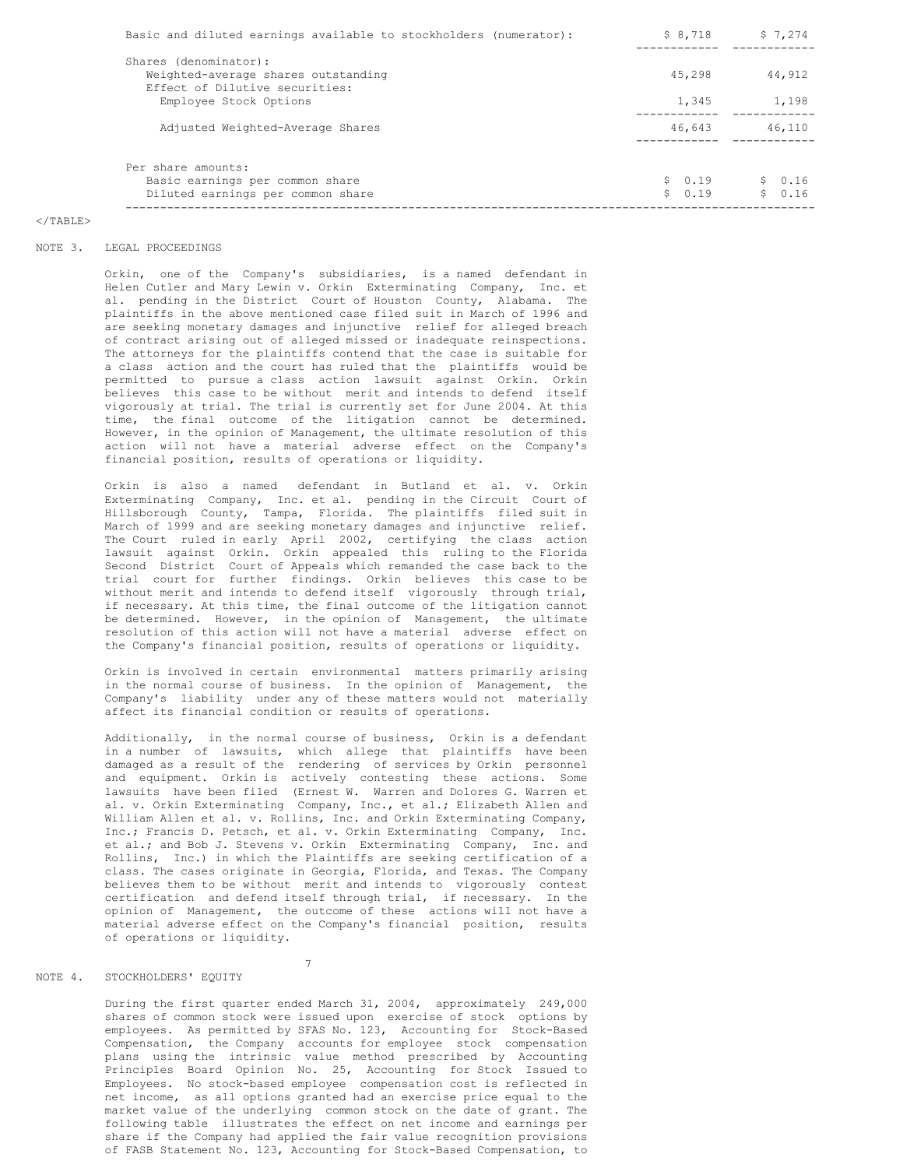| Basic and diluted earnings available to stockholders (numerator): | \$8,718    | \$7,274 |
|-------------------------------------------------------------------|------------|---------|
| Shares (denominator):                                             |            |         |
| Weighted-average shares outstanding                               | 45,298     | 44,912  |
| Effect of Dilutive securities:<br>Employee Stock Options          | 1,345      | 1,198   |
|                                                                   |            |         |
| Adjusted Weighted-Average Shares                                  | 46.643     | 46,110  |
|                                                                   |            |         |
| Per share amounts:                                                |            |         |
| Basic earnings per common share                                   | $S = 0.19$ | \$0.16  |
| Diluted earnings per common share                                 | $S = 0.19$ | \$0.16  |

 $\langle$ /TABLE>

#### NOTE 3. LEGAL PROCEEDINGS

Orkin, one of the Company's subsidiaries, is a named defendant in Helen Cutler and Mary Lewin v. Orkin Exterminating Company, Inc. et al. pending in the District Court of Houston County, Alabama. The plaintiffs in the above mentioned case filed suit in March of 1996 and are seeking monetary damages and injunctive relief for alleged breach of contract arising out of alleged missed or inadequate reinspections. The attorneys for the plaintiffs contend that the case is suitable for a class action and the court has ruled that the plaintiffs would be permitted to pursue a class action lawsuit against Orkin. Orkin believes this case to be without merit and intends to defend itself vigorously at trial. The trial is currently set for June 2004. At this time, the final outcome of the litigation cannot be determined. However, in the opinion of Management, the ultimate resolution of this action will not have a material adverse effect on the Company's financial position, results of operations or liquidity.

Orkin is also a named defendant in Butland et al. v. Orkin Exterminating Company, Inc. et al. pending in the Circuit Court of Hillsborough County, Tampa, Florida. The plaintiffs filed suit in March of 1999 and are seeking monetary damages and injunctive relief. The Court ruled in early April 2002, certifying the class action lawsuit against Orkin. Orkin appealed this ruling to the Florida Second District Court of Appeals which remanded the case back to the trial court for further findings. Orkin believes this case to be without merit and intends to defend itself vigorously through trial, if necessary. At this time, the final outcome of the litigation cannot be determined. However, in the opinion of Management, the ultimate resolution of this action will not have a material adverse effect on the Company's financial position, results of operations or liquidity.

Orkin is involved in certain environmental matters primarily arising in the normal course of business. In the opinion of Management, the Company's liability under any of these matters would not materially affect its financial condition or results of operations.

Additionally, in the normal course of business, Orkin is a defendant in a number of lawsuits, which allege that plaintiffs have been damaged as a result of the rendering of services by Orkin personnel and equipment. Orkin is actively contesting these actions. Some lawsuits have been filed (Ernest W. Warren and Dolores G. Warren et al. v. Orkin Exterminating Company, Inc., et al.; Elizabeth Allen and William Allen et al. v. Rollins, Inc. and Orkin Exterminating Company, Inc.; Francis D. Petsch, et al. v. Orkin Exterminating Company, Inc. et al.; and Bob J. Stevens v. Orkin Exterminating Company, Inc. and Rollins, Inc.) in which the Plaintiffs are seeking certification of a class. The cases originate in Georgia, Florida, and Texas. The Company believes them to be without merit and intends to vigorously contest certification and defend itself through trial, if necessary. In the opinion of Management, the outcome of these actions will not have a material adverse effect on the Company's financial position, results of operations or liquidity.

7

## NOTE 4. STOCKHOLDERS' EQUITY

During the first quarter ended March 31, 2004, approximately 249,000 shares of common stock were issued upon exercise of stock options by employees. As permitted by SFAS No. 123, Accounting for Stock-Based Compensation, the Company accounts for employee stock compensation plans using the intrinsic value method prescribed by Accounting Principles Board Opinion No. 25, Accounting for Stock Issued to Employees. No stock-based employee compensation cost is reflected in net income, as all options granted had an exercise price equal to the market value of the underlying common stock on the date of grant. The following table illustrates the effect on net income and earnings per share if the Company had applied the fair value recognition provisions of FASB Statement No. 123, Accounting for Stock-Based Compensation, to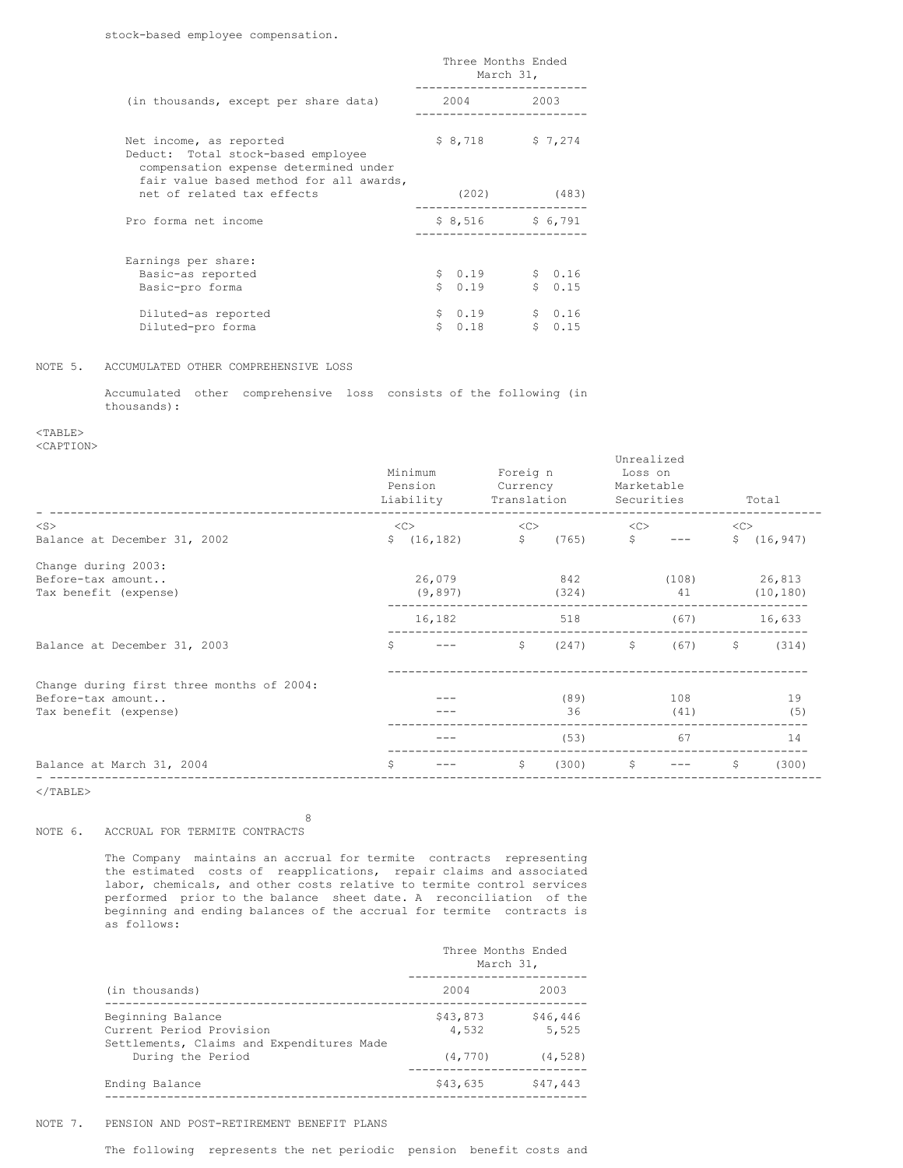|                                                                                                                                                   | Three Months Ended<br>March 31, |                  |
|---------------------------------------------------------------------------------------------------------------------------------------------------|---------------------------------|------------------|
| (in thousands, except per share data)                                                                                                             | 2004 2003                       |                  |
| Net income, as reported<br>Deduct: Total stock-based employee<br>compensation expense determined under<br>fair value based method for all awards, | $$8,718$ $$7,274$               |                  |
| net of related tax effects                                                                                                                        |                                 | $(202)$ (483)    |
| Pro forma net income                                                                                                                              | $$8,516$ $$6,791$               |                  |
| Earnings per share:                                                                                                                               |                                 |                  |
| Basic-as reported<br>Basic-pro forma                                                                                                              | \$0.19<br>\$0.19                | \$0.16<br>\$0.15 |
| Diluted-as reported<br>Diluted-pro forma                                                                                                          | \$0.19<br>Ŝ.<br>0.18            | \$0.16<br>\$0.15 |

## NOTE 5. ACCUMULATED OTHER COMPREHENSIVE LOSS

Accumulated other comprehensive loss consists of the following (in thousands):

# <TABLE>

<CAPTION>

|                                                                                         |    | Minimum<br>Pension<br>Liability | Foreig n<br>Currency<br>Translation |              | Unrealized<br>Loss on<br>Marketable<br>Securities |             |    | Total               |
|-----------------------------------------------------------------------------------------|----|---------------------------------|-------------------------------------|--------------|---------------------------------------------------|-------------|----|---------------------|
| $<$ S $>$<br>Balance at December 31, 2002                                               |    | <<<br>\$(16, 182)               | <<<br>$\mathsf{S}$                  | (765)        | <<<br>$\ddot{\mathsf{S}}$                         |             | << | \$(16, 947)         |
| Change during 2003:<br>Before-tax amount<br>Tax benefit (expense)                       |    | 26,079<br>(9, 897)              |                                     | 842<br>(324) |                                                   | (108)<br>41 |    | 26,813<br>(10, 180) |
|                                                                                         |    | 16,182                          |                                     | 518          |                                                   | (67)        |    | 16,633              |
| Balance at December 31, 2003                                                            | \$ |                                 | $\mathsf{S}$                        | (247)        | \$                                                | (67)        | \$ | (314)               |
| Change during first three months of 2004:<br>Before-tax amount<br>Tax benefit (expense) |    |                                 |                                     | (89)<br>36   |                                                   | 108<br>(41) |    | 19<br>(5)           |
|                                                                                         |    |                                 |                                     | (53)         |                                                   | 67          |    | 14                  |
| Balance at March 31, 2004                                                               | Ś  |                                 | \$                                  | (300)        | \$                                                |             | Ŝ  | (300)               |

</TABLE>

8

## NOTE 6. ACCRUAL FOR TERMITE CONTRACTS

The Company maintains an accrual for termite contracts representing the estimated costs of reapplications, repair claims and associated labor, chemicals, and other costs relative to termite control services performed prior to the balance sheet date. A reconciliation of the beginning and ending balances of the accrual for termite contracts is as follows:

|                                                                                            | Three Months Ended<br>March 31, |                   |  |
|--------------------------------------------------------------------------------------------|---------------------------------|-------------------|--|
| (in thousands)                                                                             | 2004                            | 2003              |  |
| Beginning Balance<br>Current Period Provision<br>Settlements, Claims and Expenditures Made | \$43,873<br>4,532               | \$46,446<br>5,525 |  |
| During the Period                                                                          | (4, 770)                        | (4, 528)          |  |
| Ending Balance                                                                             | \$43,635                        | \$47.443          |  |

## NOTE 7. PENSION AND POST-RETIREMENT BENEFIT PLANS

The following represents the net periodic pension benefit costs and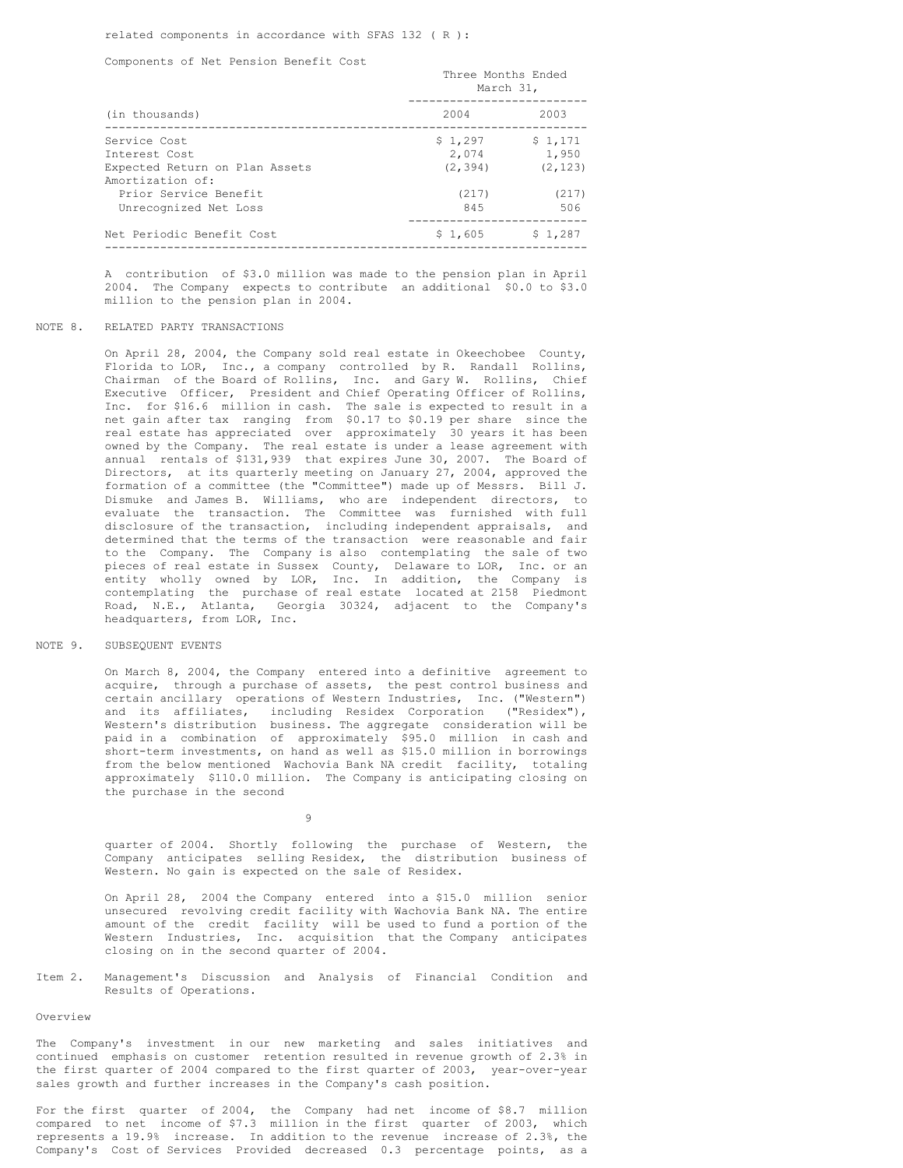#### Components of Net Pension Benefit Cost

|                                                                                                                                       | Tnree Montns Ended<br>March 31,              |                                              |  |  |
|---------------------------------------------------------------------------------------------------------------------------------------|----------------------------------------------|----------------------------------------------|--|--|
| (in thousands)                                                                                                                        | 2004                                         | 2003                                         |  |  |
| Service Cost<br>Interest Cost<br>Expected Return on Plan Assets<br>Amortization of:<br>Prior Service Benefit<br>Unrecognized Net Loss | \$1,297<br>2,074<br>(2, 394)<br>(217)<br>845 | \$1.171<br>1,950<br>(2, 123)<br>(217)<br>506 |  |  |
| Net Periodic Benefit Cost                                                                                                             | \$1,605                                      | \$1.287                                      |  |  |

Three Months Ended

A contribution of \$3.0 million was made to the pension plan in April 2004. The Company expects to contribute an additional \$0.0 to \$3.0 million to the pension plan in 2004.

#### NOTE 8. RELATED PARTY TRANSACTIONS

On April 28, 2004, the Company sold real estate in Okeechobee County, Florida to LOR, Inc., a company controlled by R. Randall Rollins, Chairman of the Board of Rollins, Inc. and Gary W. Rollins, Chief Executive Officer, President and Chief Operating Officer of Rollins, Inc. for \$16.6 million in cash. The sale is expected to result in a net gain after tax ranging from \$0.17 to \$0.19 per share since the real estate has appreciated over approximately 30 years it has been owned by the Company. The real estate is under a lease agreement with annual rentals of \$131,939 that expires June 30, 2007. The Board of Directors, at its quarterly meeting on January 27, 2004, approved the formation of a committee (the "Committee") made up of Messrs. Bill J. Dismuke and James B. Williams, who are independent directors, to evaluate the transaction. The Committee was furnished with full disclosure of the transaction, including independent appraisals, and determined that the terms of the transaction were reasonable and fair to the Company. The Company is also contemplating the sale of two pieces of real estate in Sussex County, Delaware to LOR, Inc. or an entity wholly owned by LOR, Inc. In addition, the Company is contemplating the purchase of real estate located at 2158 Piedmont Road, N.E., Atlanta, Georgia 30324, adjacent to the Company's headquarters, from LOR, Inc.

#### NOTE 9. SUBSEQUENT EVENTS

On March 8, 2004, the Company entered into a definitive agreement to acquire, through a purchase of assets, the pest control business and certain ancillary operations of Western Industries, Inc. ("Western") and its affiliates, including Residex Corporation ("Residex"), Western's distribution business. The aggregate consideration will be paid in a combination of approximately \$95.0 million in cash and short-term investments, on hand as well as \$15.0 million in borrowings from the below mentioned Wachovia Bank NA credit facility, totaling approximately \$110.0 million. The Company is anticipating closing on the purchase in the second

9

quarter of 2004. Shortly following the purchase of Western, the Company anticipates selling Residex, the distribution business of Western. No gain is expected on the sale of Residex.

On April 28, 2004 the Company entered into a \$15.0 million senior unsecured revolving credit facility with Wachovia Bank NA. The entire amount of the credit facility will be used to fund a portion of the Western Industries, Inc. acquisition that the Company anticipates closing on in the second quarter of 2004.

Item 2. Management's Discussion and Analysis of Financial Condition and Results of Operations.

#### Overview

The Company's investment in our new marketing and sales initiatives and continued emphasis on customer retention resulted in revenue growth of 2.3% in the first quarter of 2004 compared to the first quarter of 2003, year-over-year sales growth and further increases in the Company's cash position.

For the first quarter of 2004, the Company had net income of \$8.7 million compared to net income of \$7.3 million in the first quarter of 2003, which represents a 19.9% increase. In addition to the revenue increase of 2.3%, the Company's Cost of Services Provided decreased 0.3 percentage points, as a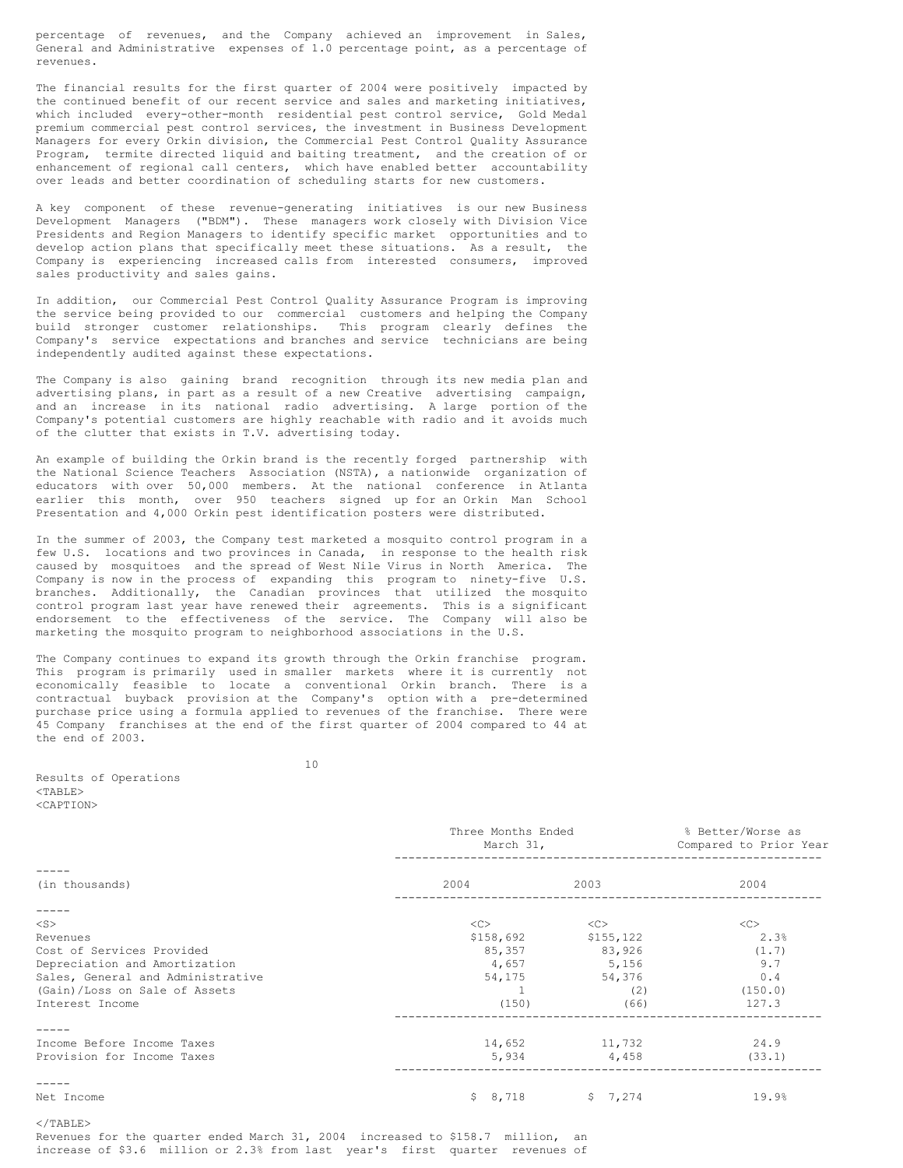percentage of revenues, and the Company achieved an improvement in Sales, General and Administrative expenses of 1.0 percentage point, as a percentage of revenues.

The financial results for the first quarter of 2004 were positively impacted by the continued benefit of our recent service and sales and marketing initiatives, which included every-other-month residential pest control service, Gold Medal premium commercial pest control services, the investment in Business Development Managers for every Orkin division, the Commercial Pest Control Quality Assurance Program, termite directed liquid and baiting treatment, and the creation of or enhancement of regional call centers, which have enabled better accountability over leads and better coordination of scheduling starts for new customers.

A key component of these revenue-generating initiatives is our new Business Development Managers ("BDM"). These managers work closely with Division Vice Presidents and Region Managers to identify specific market opportunities and to develop action plans that specifically meet these situations. As a result, the Company is experiencing increased calls from interested consumers, improved sales productivity and sales gains.

In addition, our Commercial Pest Control Quality Assurance Program is improving the service being provided to our commercial customers and helping the Company build stronger customer relationships. This program clearly defines the Company's service expectations and branches and service technicians are being independently audited against these expectations.

The Company is also gaining brand recognition through its new media plan and advertising plans, in part as a result of a new Creative advertising campaign, and an increase in its national radio advertising. A large portion of the Company's potential customers are highly reachable with radio and it avoids much of the clutter that exists in T.V. advertising today.

An example of building the Orkin brand is the recently forged partnership with the National Science Teachers Association (NSTA), a nationwide organization of educators with over 50,000 members. At the national conference in Atlanta earlier this month, over 950 teachers signed up for an Orkin Man School Presentation and 4,000 Orkin pest identification posters were distributed.

In the summer of 2003, the Company test marketed a mosquito control program in a few U.S. locations and two provinces in Canada, in response to the health risk caused by mosquitoes and the spread of West Nile Virus in North America. The Company is now in the process of expanding this program to ninety-five U.S. branches. Additionally, the Canadian provinces that utilized the mosquito control program last year have renewed their agreements. This is a significant endorsement to the effectiveness of the service. The Company will also be marketing the mosquito program to neighborhood associations in the U.S.

The Company continues to expand its growth through the Orkin franchise program. This program is primarily used in smaller markets where it is currently not economically feasible to locate a conventional Orkin branch. There is a contractual buyback provision at the Company's option with a pre-determined purchase price using a formula applied to revenues of the franchise. There were 45 Company franchises at the end of the first quarter of 2004 compared to 44 at the end of 2003.

10

Results of Operations <TABLE> <CAPTION>

|                                   | Three Months Ended<br>March 31, |                       | % Better/Worse as<br>Compared to Prior Year |  |
|-----------------------------------|---------------------------------|-----------------------|---------------------------------------------|--|
|                                   |                                 |                       |                                             |  |
| (in thousands)                    | 2004                            | 2003                  | 2004                                        |  |
|                                   |                                 |                       |                                             |  |
| $<$ S $>$                         | $<\infty$                       | $<<$ $>$              | $<<$ $>>$                                   |  |
| Revenues                          |                                 | $$158,692$ $$155,122$ | 2.3%                                        |  |
| Cost of Services Provided         |                                 | 85,357 83,926         | (1.7)                                       |  |
| Depreciation and Amortization     |                                 | 4,657 5,156           | 9.7                                         |  |
| Sales, General and Administrative |                                 | 54, 175 54, 376       | 0.4                                         |  |
| (Gain)/Loss on Sale of Assets     | $\overline{1}$                  | (2)                   | (150.0)                                     |  |
| Interest Income                   | (150)                           | (66)                  | 127.3                                       |  |
|                                   |                                 |                       |                                             |  |
| Income Before Income Taxes        |                                 | 14,652 11,732         | 24.9                                        |  |
| Provision for Income Taxes        |                                 | 5,934 4,458           | (33.1)                                      |  |
|                                   |                                 |                       |                                             |  |
| Net Income                        | \$8,718                         | \$7,274               | 19.9%                                       |  |

 $\langle$ /TABLE> Revenues for the quarter ended March 31, 2004 increased to \$158.7 million, an increase of \$3.6 million or 2.3% from last year's first quarter revenues of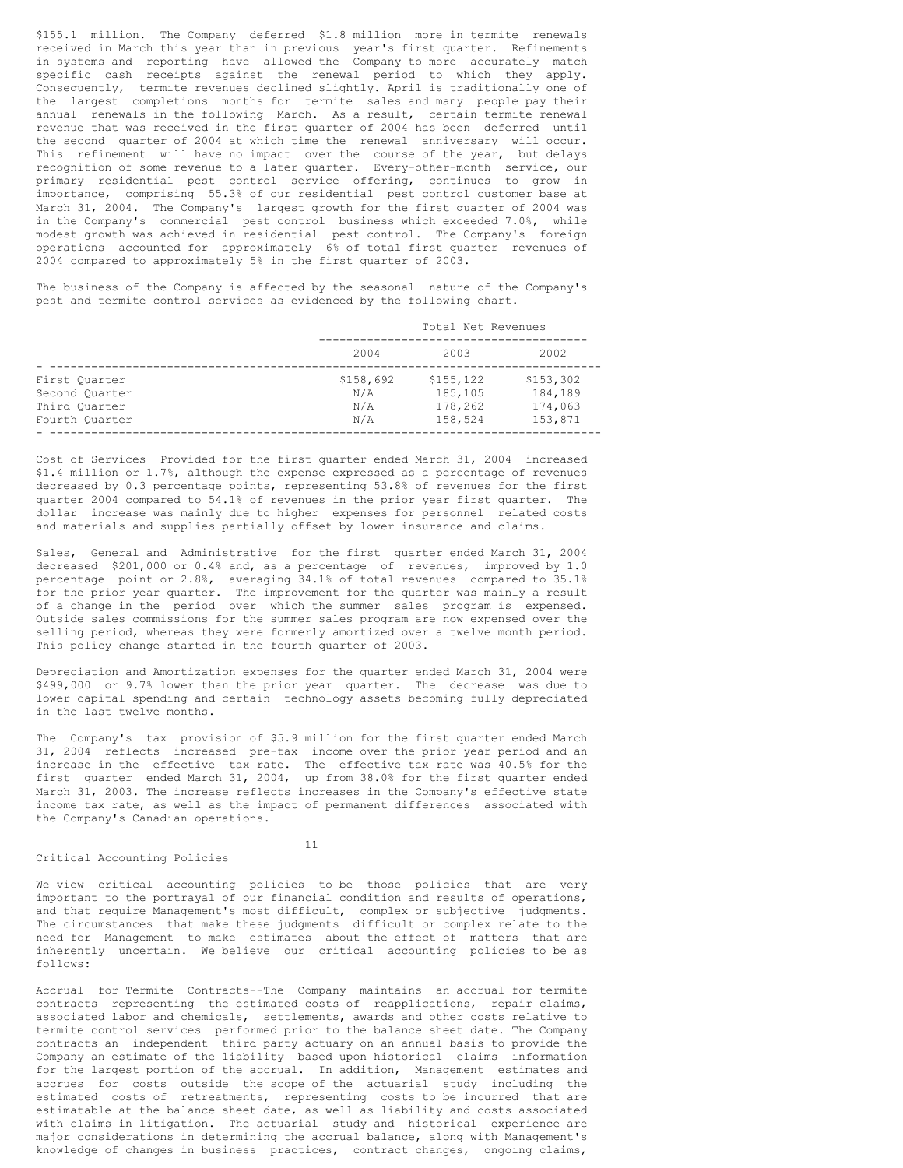\$155.1 million. The Company deferred \$1.8 million more in termite renewals received in March this year than in previous year's first quarter. Refinements in systems and reporting have allowed the Company to more accurately match specific cash receipts against the renewal period to which they apply. Consequently, termite revenues declined slightly. April is traditionally one of the largest completions months for termite sales and many people pay their annual renewals in the following March. As a result, certain termite renewal revenue that was received in the first quarter of 2004 has been deferred until the second quarter of 2004 at which time the renewal anniversary will occur. This refinement will have no impact over the course of the year, but delays recognition of some revenue to a later quarter. Every-other-month service, our primary residential pest control service offering, continues to grow in importance, comprising 55.3% of our residential pest control customer base at March 31, 2004. The Company's largest growth for the first quarter of 2004 was in the Company's commercial pest control business which exceeded 7.0%, while modest growth was achieved in residential pest control. The Company's foreign operations accounted for approximately 6% of total first quarter revenues of 2004 compared to approximately 5% in the first quarter of 2003.

The business of the Company is affected by the seasonal nature of the Company's pest and termite control services as evidenced by the following chart.

|                                                  | Total Net Revenues      |                                 |                                 |
|--------------------------------------------------|-------------------------|---------------------------------|---------------------------------|
|                                                  | 2004                    | 2003                            | 2002                            |
| First Quarter<br>Second Ouarter<br>Third Ouarter | \$158,692<br>N/A<br>N/A | \$155,122<br>185,105<br>178,262 | \$153,302<br>184,189<br>174,063 |
| Fourth Ouarter                                   | N/A                     | 158,524                         | 153,871                         |

Cost of Services Provided for the first quarter ended March 31, 2004 increased \$1.4 million or 1.7%, although the expense expressed as a percentage of revenues decreased by 0.3 percentage points, representing 53.8% of revenues for the first quarter 2004 compared to 54.1% of revenues in the prior year first quarter. The dollar increase was mainly due to higher expenses for personnel related costs and materials and supplies partially offset by lower insurance and claims.

Sales, General and Administrative for the first quarter ended March 31, 2004 decreased \$201,000 or 0.4% and, as a percentage of revenues, improved by 1.0 percentage point or 2.8%, averaging 34.1% of total revenues compared to 35.1% for the prior year quarter. The improvement for the quarter was mainly a result of a change in the period over which the summer sales program is expensed. Outside sales commissions for the summer sales program are now expensed over the selling period, whereas they were formerly amortized over a twelve month period. This policy change started in the fourth quarter of 2003.

Depreciation and Amortization expenses for the quarter ended March 31, 2004 were \$499,000 or 9.7% lower than the prior year quarter. The decrease was due to lower capital spending and certain technology assets becoming fully depreciated in the last twelve months.

The Company's tax provision of \$5.9 million for the first quarter ended March 31, 2004 reflects increased pre-tax income over the prior year period and an increase in the effective tax rate. The effective tax rate was 40.5% for the first quarter ended March 31, 2004, up from 38.0% for the first quarter ended March 31, 2003. The increase reflects increases in the Company's effective state income tax rate, as well as the impact of permanent differences associated with the Company's Canadian operations.

# 11

Critical Accounting Policies

We view critical accounting policies to be those policies that are very important to the portrayal of our financial condition and results of operations, and that require Management's most difficult, complex or subjective judgments. The circumstances that make these judgments difficult or complex relate to the need for Management to make estimates about the effect of matters that are inherently uncertain. We believe our critical accounting policies to be as follows:

Accrual for Termite Contracts--The Company maintains an accrual for termite contracts representing the estimated costs of reapplications, repair claims, associated labor and chemicals, settlements, awards and other costs relative to termite control services performed prior to the balance sheet date. The Company contracts an independent third party actuary on an annual basis to provide the Company an estimate of the liability based upon historical claims information for the largest portion of the accrual. In addition, Management estimates and accrues for costs outside the scope of the actuarial study including the estimated costs of retreatments, representing costs to be incurred that are estimatable at the balance sheet date, as well as liability and costs associated with claims in litigation. The actuarial study and historical experience are major considerations in determining the accrual balance, along with Management's knowledge of changes in business practices, contract changes, ongoing claims,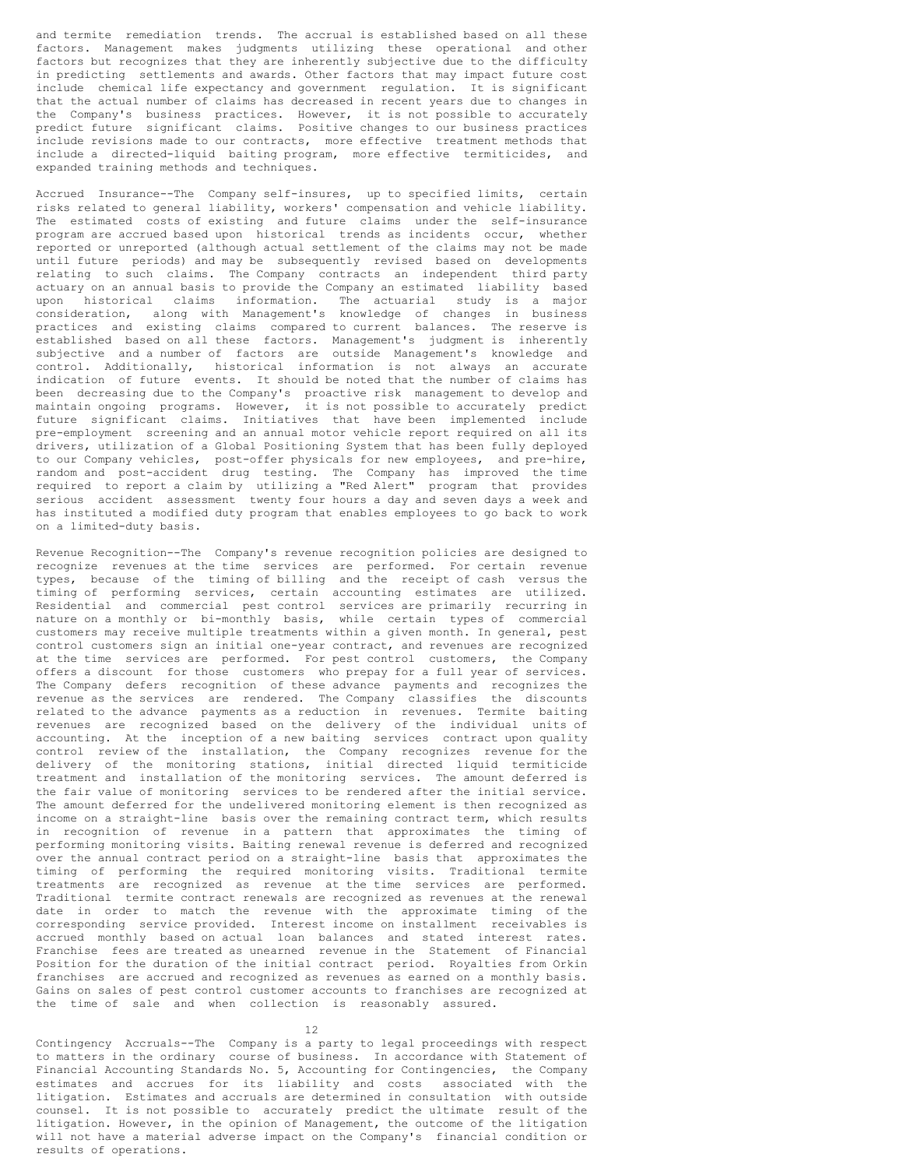and termite remediation trends. The accrual is established based on all these factors. Management makes judgments utilizing these operational and other factors but recognizes that they are inherently subjective due to the difficulty in predicting settlements and awards. Other factors that may impact future cost include chemical life expectancy and government regulation. It is significant that the actual number of claims has decreased in recent years due to changes in the Company's business practices. However, it is not possible to accurately predict future significant claims. Positive changes to our business practices include revisions made to our contracts, more effective treatment methods that include a directed-liquid baiting program, more effective termiticides, and expanded training methods and techniques.

Accrued Insurance--The Company self-insures, up to specified limits, certain risks related to general liability, workers' compensation and vehicle liability. The estimated costs of existing and future claims under the self-insurance program are accrued based upon historical trends as incidents occur, whether reported or unreported (although actual settlement of the claims may not be made until future periods) and may be subsequently revised based on developments relating to such claims. The Company contracts an independent third party actuary on an annual basis to provide the Company an estimated liability based upon historical claims information. The actuarial study is a major consideration, along with Management's knowledge of changes in business practices and existing claims compared to current balances. The reserve is .<br>established based on all these factors. Management's judgment is inherently subjective and a number of factors are outside Management's knowledge and control. Additionally, historical information is not always an accurate indication of future events. It should be noted that the number of claims has been decreasing due to the Company's proactive risk management to develop and maintain ongoing programs. However, it is not possible to accurately predict future significant claims. Initiatives that have been implemented include pre-employment screening and an annual motor vehicle report required on all its drivers, utilization of a Global Positioning System that has been fully deployed to our Company vehicles, post-offer physicals for new employees, and pre-hire, random and post-accident drug testing. The Company has improved the time required to report a claim by utilizing a "Red Alert" program that provides serious accident assessment twenty four hours a day and seven days a week and has instituted a modified duty program that enables employees to go back to work on a limited-duty basis.

Revenue Recognition--The Company's revenue recognition policies are designed to recognize revenues at the time services are performed. For certain revenue types, because of the timing of billing and the receipt of cash versus the timing of performing services, certain accounting estimates are utilized. Residential and commercial pest control services are primarily recurring in nature on a monthly or bi-monthly basis, while certain types of commercial customers may receive multiple treatments within a given month. In general, pest control customers sign an initial one-year contract, and revenues are recognized at the time services are performed. For pest control customers, the Company offers a discount for those customers who prepay for a full year of services. The Company defers recognition of these advance payments and recognizes the revenue as the services are rendered. The Company classifies the discounts related to the advance payments as a reduction in revenues. Termite baiting revenues are recognized based on the delivery of the individual units of accounting. At the inception of a new baiting services contract upon quality control review of the installation, the Company recognizes revenue for the delivery of the monitoring stations, initial directed liquid termiticide treatment and installation of the monitoring services. The amount deferred is the fair value of monitoring services to be rendered after the initial service. The amount deferred for the undelivered monitoring element is then recognized as income on a straight-line basis over the remaining contract term, which results in recognition of revenue in a pattern that approximates the timing of performing monitoring visits. Baiting renewal revenue is deferred and recognized over the annual contract period on a straight-line basis that approximates the timing of performing the required monitoring visits. Traditional termite treatments are recognized as revenue at the time services are performed. Traditional termite contract renewals are recognized as revenues at the renewal date in order to match the revenue with the approximate timing of the corresponding service provided. Interest income on installment receivables is accrued monthly based on actual loan balances and stated interest rates. Franchise fees are treated as unearned revenue in the Statement of Financial Position for the duration of the initial contract period. Royalties from Orkin franchises are accrued and recognized as revenues as earned on a monthly basis. Gains on sales of pest control customer accounts to franchises are recognized at the time of sale and when collection is reasonably assured.

#### 12

Contingency Accruals--The Company is a party to legal proceedings with respect to matters in the ordinary course of business. In accordance with Statement of Financial Accounting Standards No. 5, Accounting for Contingencies, the Company estimates and accrues for its liability and costs associated with the litigation. Estimates and accruals are determined in consultation with outside counsel. It is not possible to accurately predict the ultimate result of the litigation. However, in the opinion of Management, the outcome of the litigation will not have a material adverse impact on the Company's financial condition or results of operations.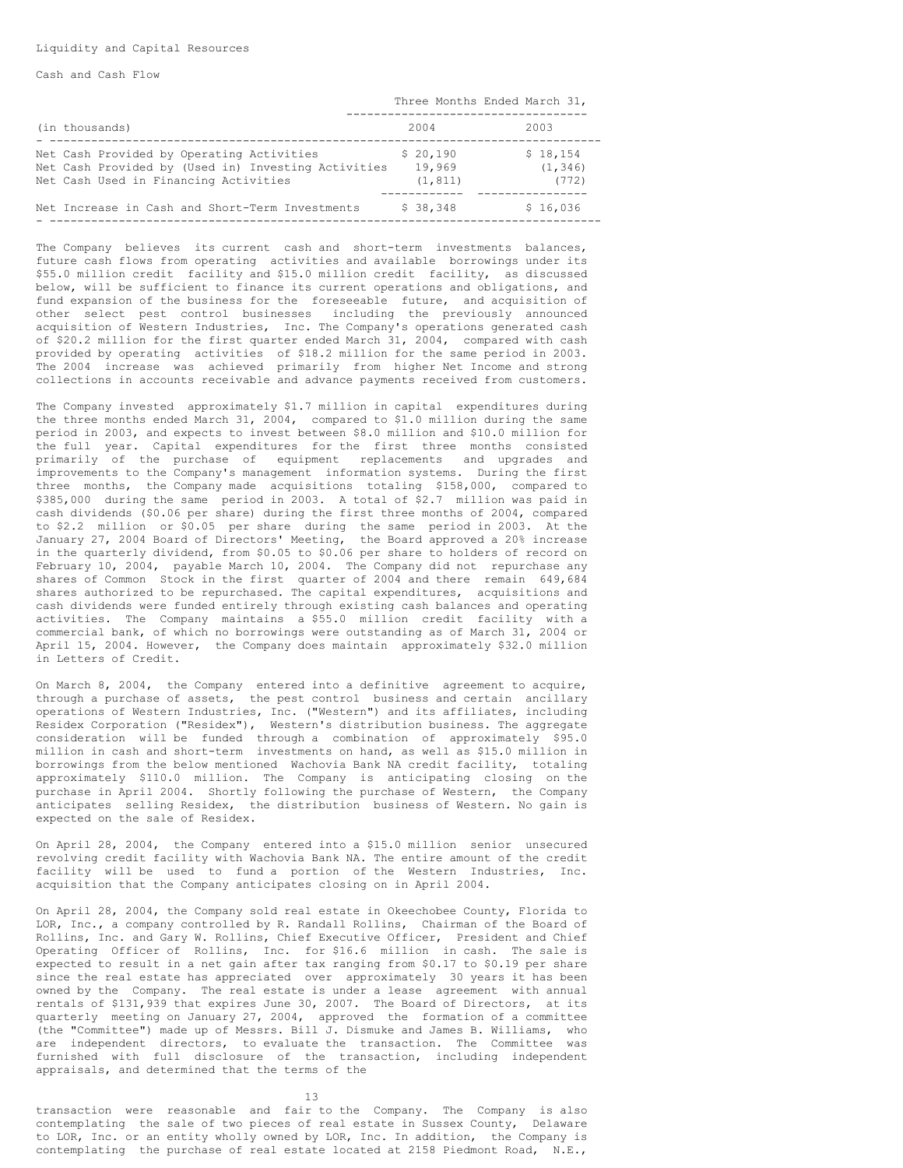Cash and Cash Flow

Three Months Ended March 31, ----------------------------------- (in thousands) 2004 2003 - -------------------------------------------------------------------------------- Net Cash Provided by Operating Activities  $$ 20,190$   $$ 18,154$ <br>Net Cash Provided by (Used in) Investing Activities 19,969 (1,346)<br>Net Cash Used in Financing Activities (1,811) Net Cash Provided by (Used in) Investing Activities 19,969 Net Cash Used in Financing Activities ------------ ---------------- Net Increase in Cash and Short-Term Investments \$ 38,348 \$ 16,036 - --------------------------------------------------------------------------------

The Company believes its current cash and short-term investments balances, future cash flows from operating activities and available borrowings under its \$55.0 million credit facility and \$15.0 million credit facility, as discussed below, will be sufficient to finance its current operations and obligations, and fund expansion of the business for the foreseeable future, and acquisition of other select pest control businesses including the previously announced acquisition of Western Industries, Inc. The Company's operations generated cash of \$20.2 million for the first quarter ended March 31, 2004, compared with cash provided by operating activities of \$18.2 million for the same period in 2003. The 2004 increase was achieved primarily from higher Net Income and strong collections in accounts receivable and advance payments received from customers.

The Company invested approximately \$1.7 million in capital expenditures during the three months ended March 31, 2004, compared to \$1.0 million during the same period in 2003, and expects to invest between \$8.0 million and \$10.0 million for the full year. Capital expenditures for the first three months consisted primarily of the purchase of equipment replacements and upgrades and improvements to the Company's management information systems. During the first three months, the Company made acquisitions totaling \$158,000, compared to \$385,000 during the same period in 2003. A total of \$2.7 million was paid in cash dividends (\$0.06 per share) during the first three months of 2004, compared to \$2.2 million or \$0.05 per share during the same period in 2003. At the January 27, 2004 Board of Directors' Meeting, the Board approved a 20% increase in the quarterly dividend, from \$0.05 to \$0.06 per share to holders of record on February 10, 2004, payable March 10, 2004. The Company did not repurchase any shares of Common Stock in the first quarter of 2004 and there remain 649,684 shares authorized to be repurchased. The capital expenditures, acquisitions and cash dividends were funded entirely through existing cash balances and operating activities. The Company maintains a \$55.0 million credit facility with a commercial bank, of which no borrowings were outstanding as of March 31, 2004 or April 15, 2004. However, the Company does maintain approximately \$32.0 million in Letters of Credit.

On March 8, 2004, the Company entered into a definitive agreement to acquire, through a purchase of assets, the pest control business and certain ancillary operations of Western Industries, Inc. ("Western") and its affiliates, including Residex Corporation ("Residex"), Western's distribution business. The aggregate consideration will be funded through a combination of approximately \$95.0 million in cash and short-term investments on hand, as well as \$15.0 million in borrowings from the below mentioned Wachovia Bank NA credit facility, totaling approximately \$110.0 million. The Company is anticipating closing on the purchase in April 2004. Shortly following the purchase of Western, the Company anticipates selling Residex, the distribution business of Western. No gain is expected on the sale of Residex.

On April 28, 2004, the Company entered into a \$15.0 million senior unsecured revolving credit facility with Wachovia Bank NA. The entire amount of the credit facility will be used to fund a portion of the Western Industries, Inc. acquisition that the Company anticipates closing on in April 2004.

On April 28, 2004, the Company sold real estate in Okeechobee County, Florida to LOR, Inc., a company controlled by R. Randall Rollins, Chairman of the Board of Rollins, Inc. and Gary W. Rollins, Chief Executive Officer, President and Chief Operating Officer of Rollins, Inc. for \$16.6 million in cash. The sale is expected to result in a net gain after tax ranging from \$0.17 to \$0.19 per share since the real estate has appreciated over approximately 30 years it has been owned by the Company. The real estate is under a lease agreement with annual rentals of \$131,939 that expires June 30, 2007. The Board of Directors, at its quarterly meeting on January 27, 2004, approved the formation of a committee (the "Committee") made up of Messrs. Bill J. Dismuke and James B. Williams, who are independent directors, to evaluate the transaction. The Committee was furnished with full disclosure of the transaction, including independent appraisals, and determined that the terms of the

13

transaction were reasonable and fair to the Company. The Company is also contemplating the sale of two pieces of real estate in Sussex County, Delaware to LOR, Inc. or an entity wholly owned by LOR, Inc. In addition, the Company is contemplating the purchase of real estate located at 2158 Piedmont Road, N.E.,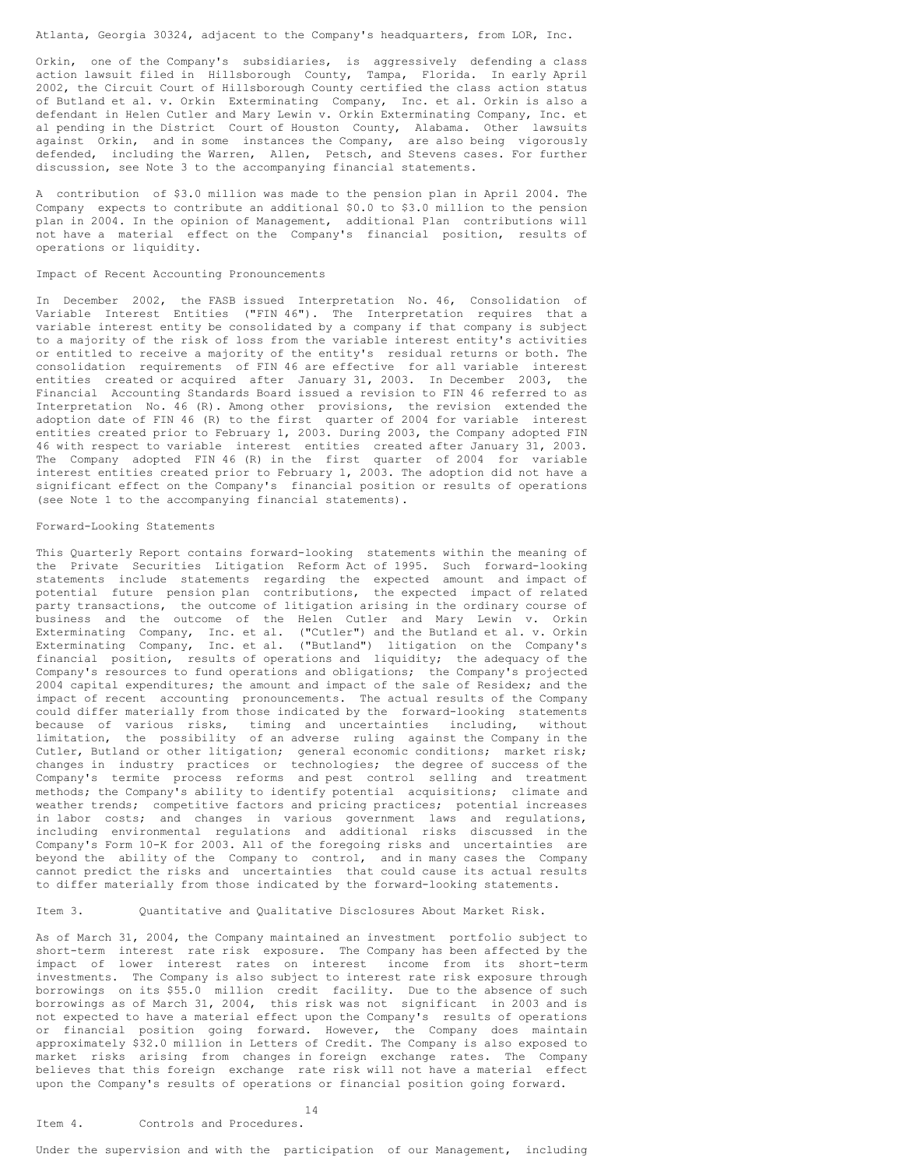Atlanta, Georgia 30324, adjacent to the Company's headquarters, from LOR, Inc.

Orkin, one of the Company's subsidiaries, is aggressively defending a class action lawsuit filed in Hillsborough County, Tampa, Florida. In early April 2002, the Circuit Court of Hillsborough County certified the class action status of Butland et al. v. Orkin Exterminating Company, Inc. et al. Orkin is also a defendant in Helen Cutler and Mary Lewin v. Orkin Exterminating Company, Inc. et al pending in the District Court of Houston County, Alabama. Other lawsuits against Orkin, and in some instances the Company, are also being vigorously defended, including the Warren, Allen, Petsch, and Stevens cases. For further discussion, see Note 3 to the accompanying financial statements.

A contribution of \$3.0 million was made to the pension plan in April 2004. The Company expects to contribute an additional \$0.0 to \$3.0 million to the pension plan in 2004. In the opinion of Management, additional Plan contributions will not have a material effect on the Company's financial position, results of operations or liquidity.

## Impact of Recent Accounting Pronouncements

In December 2002, the FASB issued Interpretation No. 46, Consolidation of Variable Interest Entities ("FIN 46"). The Interpretation requires that a variable interest entity be consolidated by a company if that company is subject to a majority of the risk of loss from the variable interest entity's activities or entitled to receive a majority of the entity's residual returns or both. The consolidation requirements of FIN 46 are effective for all variable interest entities created or acquired after January 31, 2003. In December 2003, the Financial Accounting Standards Board issued a revision to FIN 46 referred to as Interpretation No. 46 (R). Among other provisions, the revision extended the adoption date of FIN 46 (R) to the first quarter of 2004 for variable interest entities created prior to February 1, 2003. During 2003, the Company adopted FIN 46 with respect to variable interest entities created after January 31, 2003. The Company adopted FIN 46 (R) in the first quarter of 2004 for variable interest entities created prior to February 1, 2003. The adoption did not have a significant effect on the Company's financial position or results of operations (see Note 1 to the accompanying financial statements).

## Forward-Looking Statements

This Quarterly Report contains forward-looking statements within the meaning of the Private Securities Litigation Reform Act of 1995. Such forward-looking statements include statements regarding the expected amount and impact of potential future pension plan contributions, the expected impact of related party transactions, the outcome of litigation arising in the ordinary course of business and the outcome of the Helen Cutler and Mary Lewin v. Orkin Exterminating Company, Inc. et al. ("Cutler") and the Butland et al. v. Orkin Exterminating Company, Inc. et al. ("Butland") litigation on the Company's financial position, results of operations and liquidity; the adequacy of the Company's resources to fund operations and obligations; the Company's projected 2004 capital expenditures; the amount and impact of the sale of Residex; and the impact of recent accounting pronouncements. The actual results of the Company could differ materially from those indicated by the forward-looking statements because of various risks, timing and uncertainties including, without limitation, the possibility of an adverse ruling against the Company in the Cutler, Butland or other litigation; general economic conditions; market risk; changes in industry practices or technologies; the degree of success of the Company's termite process reforms and pest control selling and treatment methods; the Company's ability to identify potential acquisitions; climate and weather trends; competitive factors and pricing practices; potential increases in labor costs; and changes in various government laws and regulations, including environmental regulations and additional risks discussed in the Company's Form 10-K for 2003. All of the foregoing risks and uncertainties are beyond the ability of the Company to control, and in many cases the Company cannot predict the risks and uncertainties that could cause its actual results to differ materially from those indicated by the forward-looking statements.

## Item 3. Quantitative and Qualitative Disclosures About Market Risk.

As of March 31, 2004, the Company maintained an investment portfolio subject to short-term interest rate risk exposure. The Company has been affected by the impact of lower interest rates on interest income from its short-term investments. The Company is also subject to interest rate risk exposure through borrowings on its \$55.0 million credit facility. Due to the absence of such borrowings as of March 31, 2004, this risk was not significant in 2003 and is not expected to have a material effect upon the Company's results of operations or financial position going forward. However, the Company does maintain approximately \$32.0 million in Letters of Credit. The Company is also exposed to market risks arising from changes in foreign exchange rates. The Company believes that this foreign exchange rate risk will not have a material effect upon the Company's results of operations or financial position going forward.

#### 14

## Item 4. Controls and Procedures.

Under the supervision and with the participation of our Management, including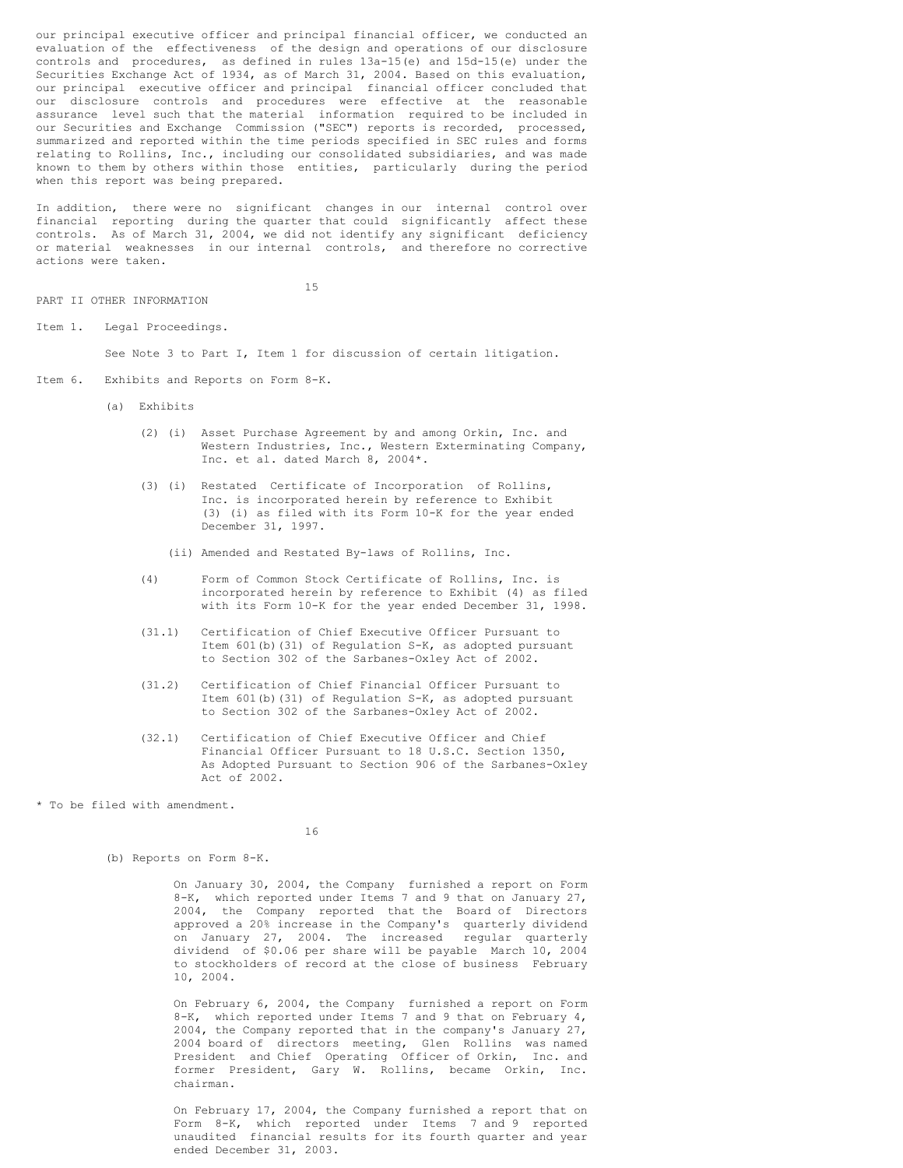our principal executive officer and principal financial officer, we conducted an evaluation of the effectiveness of the design and operations of our disclosure controls and procedures, as defined in rules 13a-15(e) and 15d-15(e) under the Securities Exchange Act of 1934, as of March 31, 2004. Based on this evaluation, our principal executive officer and principal financial officer concluded that our disclosure controls and procedures were effective at the reasonable assurance level such that the material information required to be included in our Securities and Exchange Commission ("SEC") reports is recorded, processed, summarized and reported within the time periods specified in SEC rules and forms relating to Rollins, Inc., including our consolidated subsidiaries, and was made known to them by others within those entities, particularly during the period when this report was being prepared.

In addition, there were no significant changes in our internal control over financial reporting during the quarter that could significantly affect these controls. As of March 31, 2004, we did not identify any significant deficiency or material weaknesses in our internal controls, and therefore no corrective actions were taken.

15

# PART II OTHER INFORMATION

Item 1. Legal Proceedings.

See Note 3 to Part I, Item 1 for discussion of certain litigation.

- Item 6. Exhibits and Reports on Form 8-K.
	- (a) Exhibits
		- (2) (i) Asset Purchase Agreement by and among Orkin, Inc. and Western Industries, Inc., Western Exterminating Company, Inc. et al. dated March 8, 2004\*.
		- (3) (i) Restated Certificate of Incorporation of Rollins, Inc. is incorporated herein by reference to Exhibit (3) (i) as filed with its Form 10-K for the year ended December 31, 1997.
			- (ii) Amended and Restated By-laws of Rollins, Inc.
		- (4) Form of Common Stock Certificate of Rollins, Inc. is incorporated herein by reference to Exhibit (4) as filed with its Form 10-K for the year ended December 31, 1998.
		- (31.1) Certification of Chief Executive Officer Pursuant to Item 601(b)(31) of Regulation S-K, as adopted pursuant to Section 302 of the Sarbanes-Oxley Act of 2002.
		- (31.2) Certification of Chief Financial Officer Pursuant to Item 601(b)(31) of Regulation S-K, as adopted pursuant to Section 302 of the Sarbanes-Oxley Act of 2002.
		- (32.1) Certification of Chief Executive Officer and Chief Financial Officer Pursuant to 18 U.S.C. Section 1350, As Adopted Pursuant to Section 906 of the Sarbanes-Oxley Act of 2002.

\* To be filed with amendment.

16

(b) Reports on Form 8-K.

On January 30, 2004, the Company furnished a report on Form 8-K, which reported under Items 7 and 9 that on January 27, 2004, the Company reported that the Board of Directors approved a 20% increase in the Company's quarterly dividend on January 27, 2004. The increased regular quarterly dividend of \$0.06 per share will be payable March 10, 2004 to stockholders of record at the close of business February 10, 2004.

On February 6, 2004, the Company furnished a report on Form 8-K, which reported under Items 7 and 9 that on February 4, 2004, the Company reported that in the company's January 27, 2004 board of directors meeting, Glen Rollins was named President and Chief Operating Officer of Orkin, Inc. and former President, Gary W. Rollins, became Orkin, Inc. chairman.

On February 17, 2004, the Company furnished a report that on Form 8-K, which reported under Items 7 and 9 reported unaudited financial results for its fourth quarter and year ended December 31, 2003.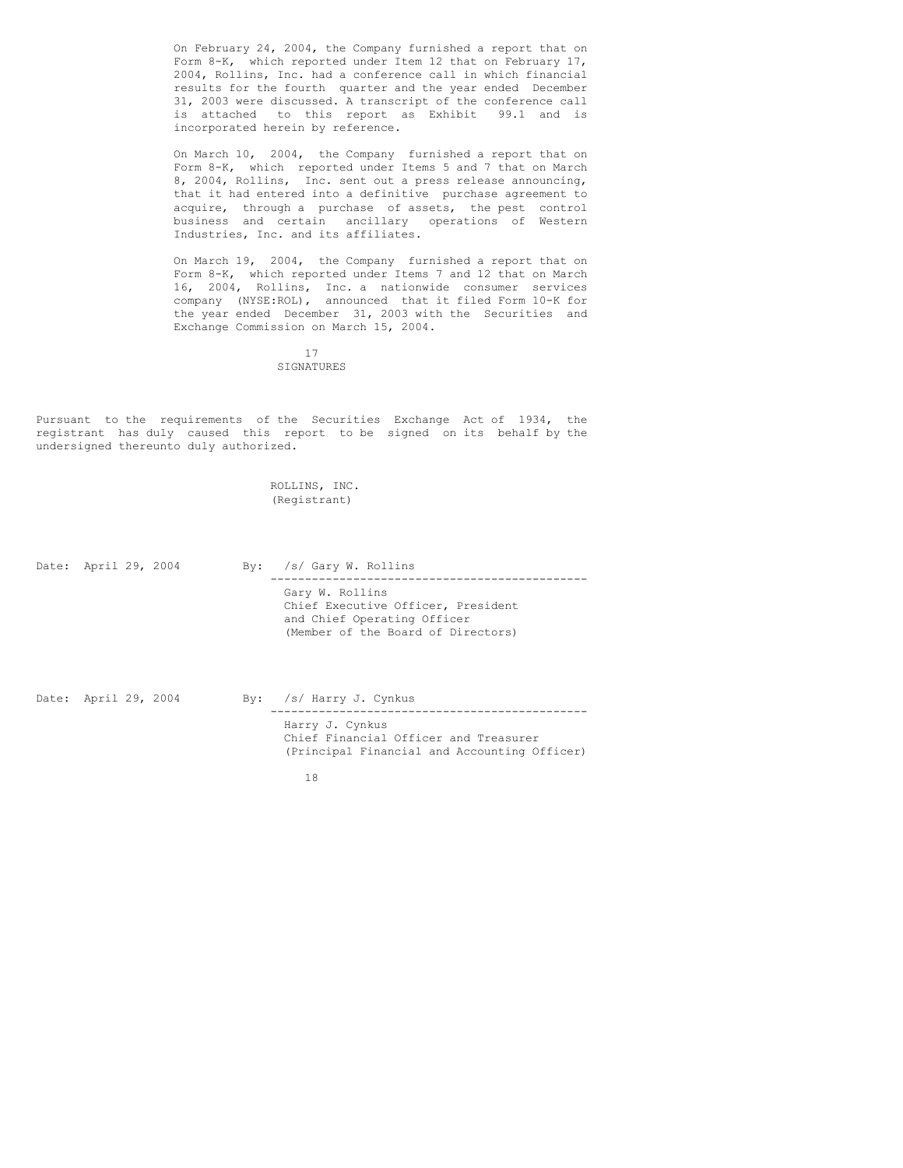On February 24, 2004, the Company furnished a report that on Form 8-K, which reported under Item 12 that on February 17, 2004, Rollins, Inc. had a conference call in which financial results for the fourth quarter and the year ended December 31, 2003 were discussed. A transcript of the conference call is attached to this report as Exhibit 99.1 and is incorporated herein by reference.

On March 10, 2004, the Company furnished a report that on Form 8-K, which reported under Items 5 and 7 that on March 8, 2004, Rollins, Inc. sent out a press release announcing, that it had entered into a definitive purchase agreement to acquire, through a purchase of assets, the pest control business and certain ancillary operations of Western Industries, Inc. and its affiliates.

On March 19, 2004, the Company furnished a report that on Form 8-K, which reported under Items 7 and 12 that on March 16, 2004, Rollins, Inc. a nationwide consumer services company (NYSE:ROL), announced that it filed Form 10-K for the year ended December 31, 2003 with the Securities and Exchange Commission on March 15, 2004.

> 17 SIGNATURES

Pursuant to the requirements of the Securities Exchange Act of 1934, the registrant has duly caused this report to be signed on its behalf by the undersigned thereunto duly authorized.

> ROLLINS, INC. (Registrant)

Date: April 29, 2004 By: /s/ Gary W. Rollins

---------------------------------------------- Gary W. Rollins Chief Executive Officer, President and Chief Operating Officer (Member of the Board of Directors)

Date: April 29, 2004 By: /s/ Harry J. Cynkus

---------------------------------------------- Harry J. Cynkus Chief Financial Officer and Treasurer (Principal Financial and Accounting Officer)

18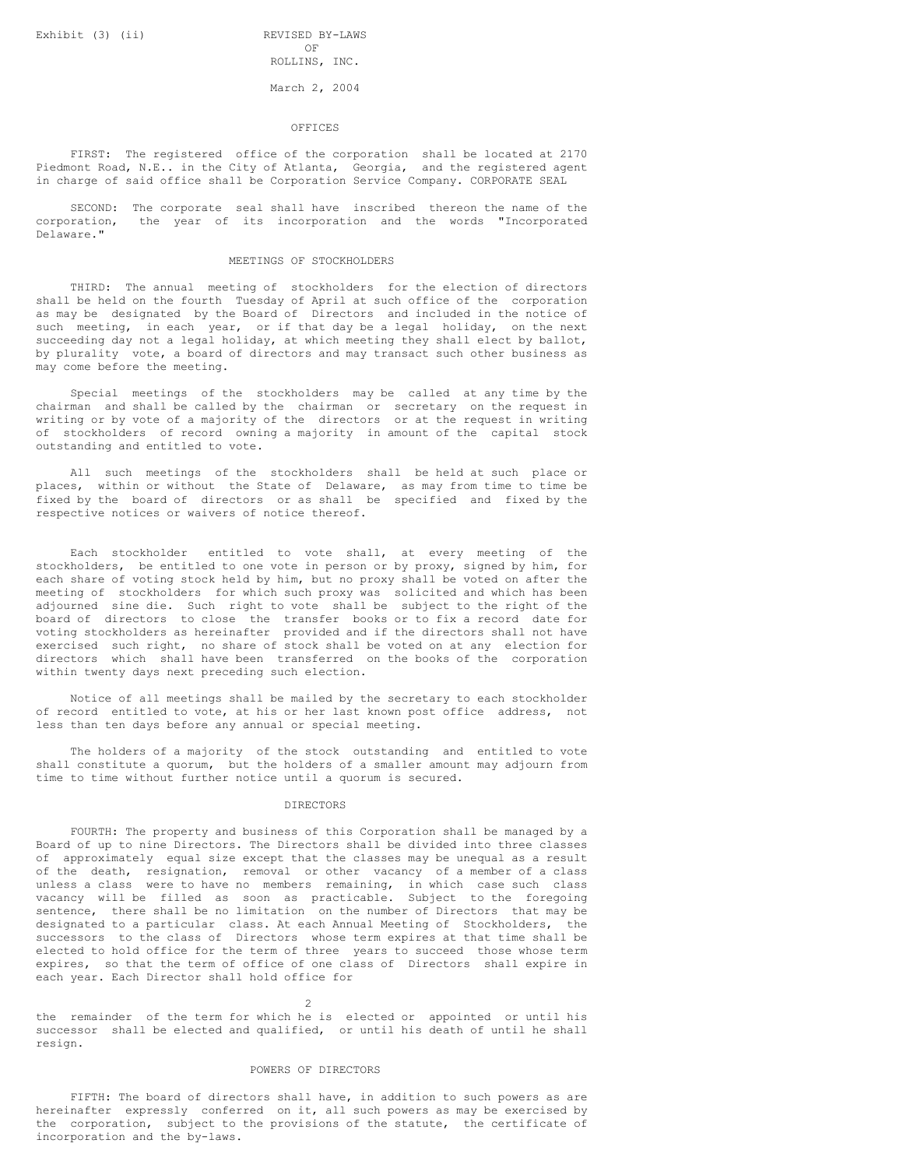# OF

ROLLINS, INC.

March 2, 2004

#### OFFICES

FIRST: The registered office of the corporation shall be located at 2170 Piedmont Road, N.E.. in the City of Atlanta, Georgia, and the registered agent in charge of said office shall be Corporation Service Company. CORPORATE SEAL

SECOND: The corporate seal shall have inscribed thereon the name of the corporation, the year of its incorporation and the words "Incorporated Delaware."

## MEETINGS OF STOCKHOLDERS

THIRD: The annual meeting of stockholders for the election of directors shall be held on the fourth Tuesday of April at such office of the corporation as may be designated by the Board of Directors and included in the notice of such meeting, in each year, or if that day be a legal holiday, on the next succeeding day not a legal holiday, at which meeting they shall elect by ballot, by plurality vote, a board of directors and may transact such other business as may come before the meeting.

Special meetings of the stockholders may be called at any time by the chairman and shall be called by the chairman or secretary on the request in writing or by vote of a majority of the directors or at the request in writing of stockholders of record owning a majority in amount of the capital stock outstanding and entitled to vote.

All such meetings of the stockholders shall be held at such place or places, within or without the State of Delaware, as may from time to time be fixed by the board of directors or as shall be specified and fixed by the respective notices or waivers of notice thereof.

Each stockholder entitled to vote shall, at every meeting of the stockholders, be entitled to one vote in person or by proxy, signed by him, for each share of voting stock held by him, but no proxy shall be voted on after the meeting of stockholders for which such proxy was solicited and which has been adjourned sine die. Such right to vote shall be subject to the right of the board of directors to close the transfer books or to fix a record date for voting stockholders as hereinafter provided and if the directors shall not have exercised such right, no share of stock shall be voted on at any election for directors which shall have been transferred on the books of the corporation within twenty days next preceding such election.

Notice of all meetings shall be mailed by the secretary to each stockholder of record entitled to vote, at his or her last known post office address, not less than ten days before any annual or special meeting.

The holders of a majority of the stock outstanding and entitled to vote shall constitute a quorum, but the holders of a smaller amount may adjourn from time to time without further notice until a quorum is secured.

#### DIRECTORS

FOURTH: The property and business of this Corporation shall be managed by a Board of up to nine Directors. The Directors shall be divided into three classes of approximately equal size except that the classes may be unequal as a result of the death, resignation, removal or other vacancy of a member of a class unless a class were to have no members remaining, in which case such class vacancy will be filled as soon as practicable. Subject to the foregoing sentence, there shall be no limitation on the number of Directors that may be designated to a particular class. At each Annual Meeting of Stockholders, the successors to the class of Directors whose term expires at that time shall be elected to hold office for the term of three years to succeed those whose term expires, so that the term of office of one class of Directors shall expire in each year. Each Director shall hold office for

#### 2

the remainder of the term for which he is elected or appointed or until his successor shall be elected and qualified, or until his death of until he shall resign.

## POWERS OF DIRECTORS

FIFTH: The board of directors shall have, in addition to such powers as are hereinafter expressly conferred on it, all such powers as may be exercised by the corporation, subject to the provisions of the statute, the certificate of incorporation and the by-laws.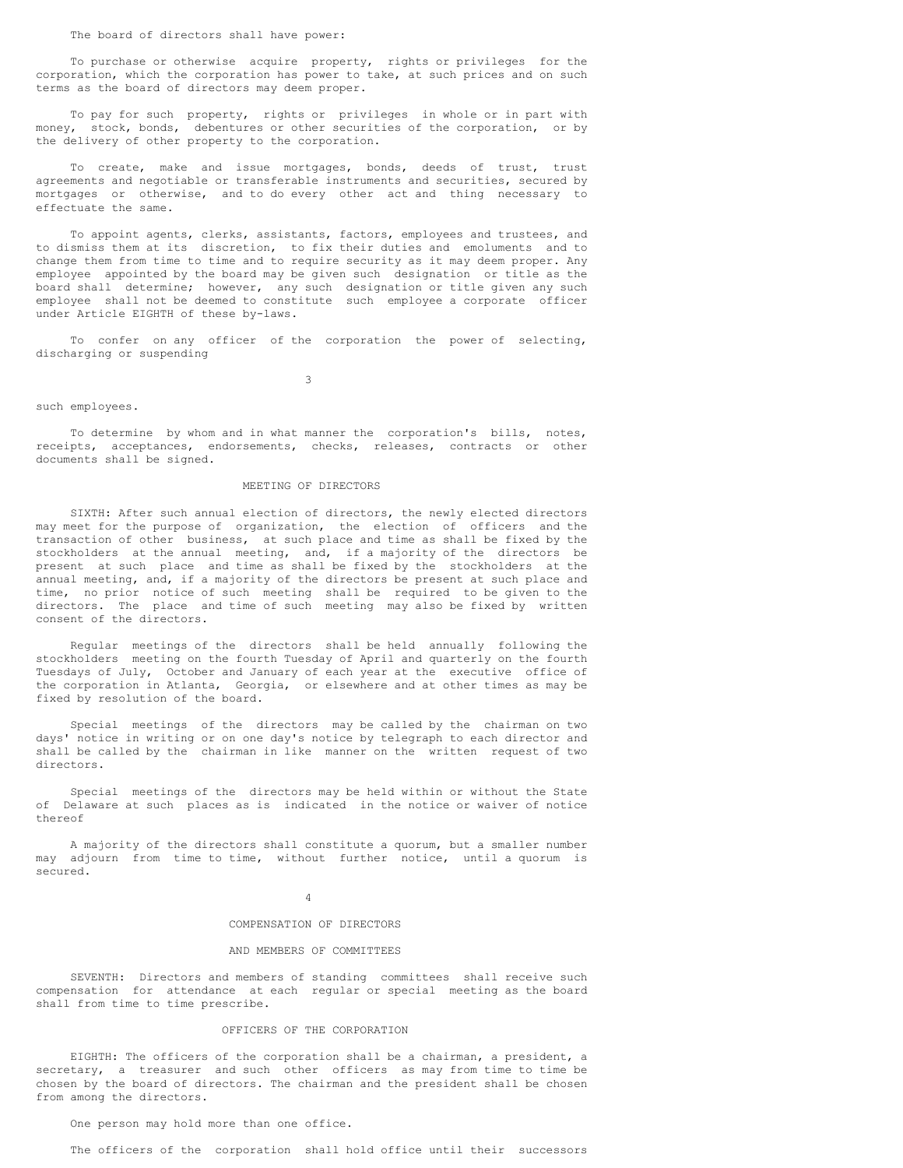To purchase or otherwise acquire property, rights or privileges for the corporation, which the corporation has power to take, at such prices and on such terms as the board of directors may deem proper.

To pay for such property, rights or privileges in whole or in part with money, stock, bonds, debentures or other securities of the corporation, or by the delivery of other property to the corporation.

To create, make and issue mortgages, bonds, deeds of trust, trust agreements and negotiable or transferable instruments and securities, secured by mortgages or otherwise, and to do every other act and thing necessary to effectuate the same.

To appoint agents, clerks, assistants, factors, employees and trustees, and to dismiss them at its discretion, to fix their duties and emoluments and to change them from time to time and to require security as it may deem proper. Any employee appointed by the board may be given such designation or title as the board shall determine; however, any such designation or title given any such employee shall not be deemed to constitute such employee a corporate officer under Article EIGHTH of these by-laws.

To confer on any officer of the corporation the power of selecting, discharging or suspending

3

#### such employees.

To determine by whom and in what manner the corporation's bills, notes, receipts, acceptances, endorsements, checks, releases, contracts or other documents shall be signed.

## MEETING OF DIRECTORS

SIXTH: After such annual election of directors, the newly elected directors may meet for the purpose of organization, the election of officers and the transaction of other business, at such place and time as shall be fixed by the stockholders at the annual meeting, and, if a majority of the directors be present at such place and time as shall be fixed by the stockholders at the annual meeting, and, if a majority of the directors be present at such place and time, no prior notice of such meeting shall be required to be given to the directors. The place and time of such meeting may also be fixed by written consent of the directors.

Regular meetings of the directors shall be held annually following the stockholders meeting on the fourth Tuesday of April and quarterly on the fourth Tuesdays of July, October and January of each year at the executive office of the corporation in Atlanta, Georgia, or elsewhere and at other times as may be fixed by resolution of the board.

Special meetings of the directors may be called by the chairman on two days' notice in writing or on one day's notice by telegraph to each director and shall be called by the chairman in like manner on the written request of two directors.

Special meetings of the directors may be held within or without the State of Delaware at such places as is indicated in the notice or waiver of notice thereof

A majority of the directors shall constitute a quorum, but a smaller number may adjourn from time to time, without further notice, until a quorum is secured.

#### 4

#### COMPENSATION OF DIRECTORS

#### AND MEMBERS OF COMMITTEES

SEVENTH: Directors and members of standing committees shall receive such compensation for attendance at each regular or special meeting as the board shall from time to time prescribe.

#### OFFICERS OF THE CORPORATION

EIGHTH: The officers of the corporation shall be a chairman, a president, a secretary, a treasurer and such other officers as may from time to time be chosen by the board of directors. The chairman and the president shall be chosen from among the directors.

One person may hold more than one office.

The officers of the corporation shall hold office until their successors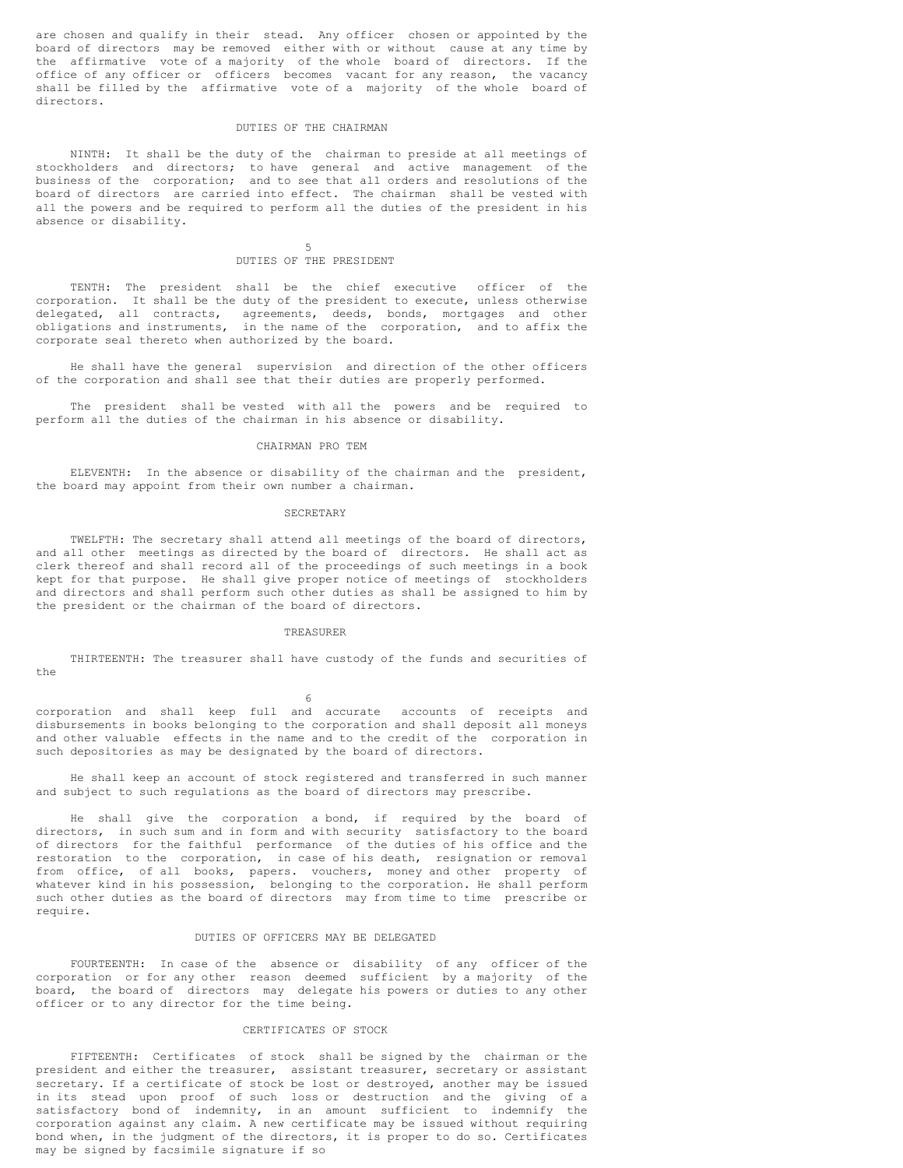are chosen and qualify in their stead. Any officer chosen or appointed by the board of directors may be removed either with or without cause at any time by the affirmative vote of a majority of the whole board of directors. If the office of any officer or officers becomes vacant for any reason, the vacancy shall be filled by the affirmative vote of a majority of the whole board of directors.

## DUTIES OF THE CHAIRMAN

NINTH: It shall be the duty of the chairman to preside at all meetings of stockholders and directors; to have general and active management of the business of the corporation; and to see that all orders and resolutions of the board of directors are carried into effect. The chairman shall be vested with all the powers and be required to perform all the duties of the president in his absence or disability.

#### 5 DUTIES OF THE PRESIDENT

TENTH: The president shall be the chief executive officer of the corporation. It shall be the duty of the president to execute, unless otherwise delegated, all contracts, agreements, deeds, bonds, mortgages and other obligations and instruments, in the name of the corporation, and to affix the corporate seal thereto when authorized by the board.

He shall have the general supervision and direction of the other officers of the corporation and shall see that their duties are properly performed.

The president shall be vested with all the powers and be required to perform all the duties of the chairman in his absence or disability.

#### CHAIRMAN PRO TEM

ELEVENTH: In the absence or disability of the chairman and the president, the board may appoint from their own number a chairman.

#### SECRETARY

TWELFTH: The secretary shall attend all meetings of the board of directors, and all other meetings as directed by the board of directors. He shall act as clerk thereof and shall record all of the proceedings of such meetings in a book kept for that purpose. He shall give proper notice of meetings of stockholders and directors and shall perform such other duties as shall be assigned to him by the president or the chairman of the board of directors.

#### TREASURER

THIRTEENTH: The treasurer shall have custody of the funds and securities of the

6

corporation and shall keep full and accurate accounts of receipts and disbursements in books belonging to the corporation and shall deposit all moneys and other valuable effects in the name and to the credit of the corporation in such depositories as may be designated by the board of directors.

He shall keep an account of stock registered and transferred in such manner and subject to such regulations as the board of directors may prescribe.

He shall give the corporation a bond, if required by the board of directors, in such sum and in form and with security satisfactory to the board of directors for the faithful performance of the duties of his office and the restoration to the corporation, in case of his death, resignation or removal from office, of all books, papers. vouchers, money and other property of whatever kind in his possession, belonging to the corporation. He shall perform such other duties as the board of directors may from time to time prescribe or require.

#### DUTIES OF OFFICERS MAY BE DELEGATED

FOURTEENTH: In case of the absence or disability of any officer of the corporation or for any other reason deemed sufficient by a majority of the board, the board of directors may delegate his powers or duties to any other officer or to any director for the time being.

#### CERTIFICATES OF STOCK

FIFTEENTH: Certificates of stock shall be signed by the chairman or the president and either the treasurer, assistant treasurer, secretary or assistant secretary. If a certificate of stock be lost or destroyed, another may be issued in its stead upon proof of such loss or destruction and the giving of a satisfactory bond of indemnity, in an amount sufficient to indemnify the corporation against any claim. A new certificate may be issued without requiring bond when, in the judgment of the directors, it is proper to do so. Certificates may be signed by facsimile signature if so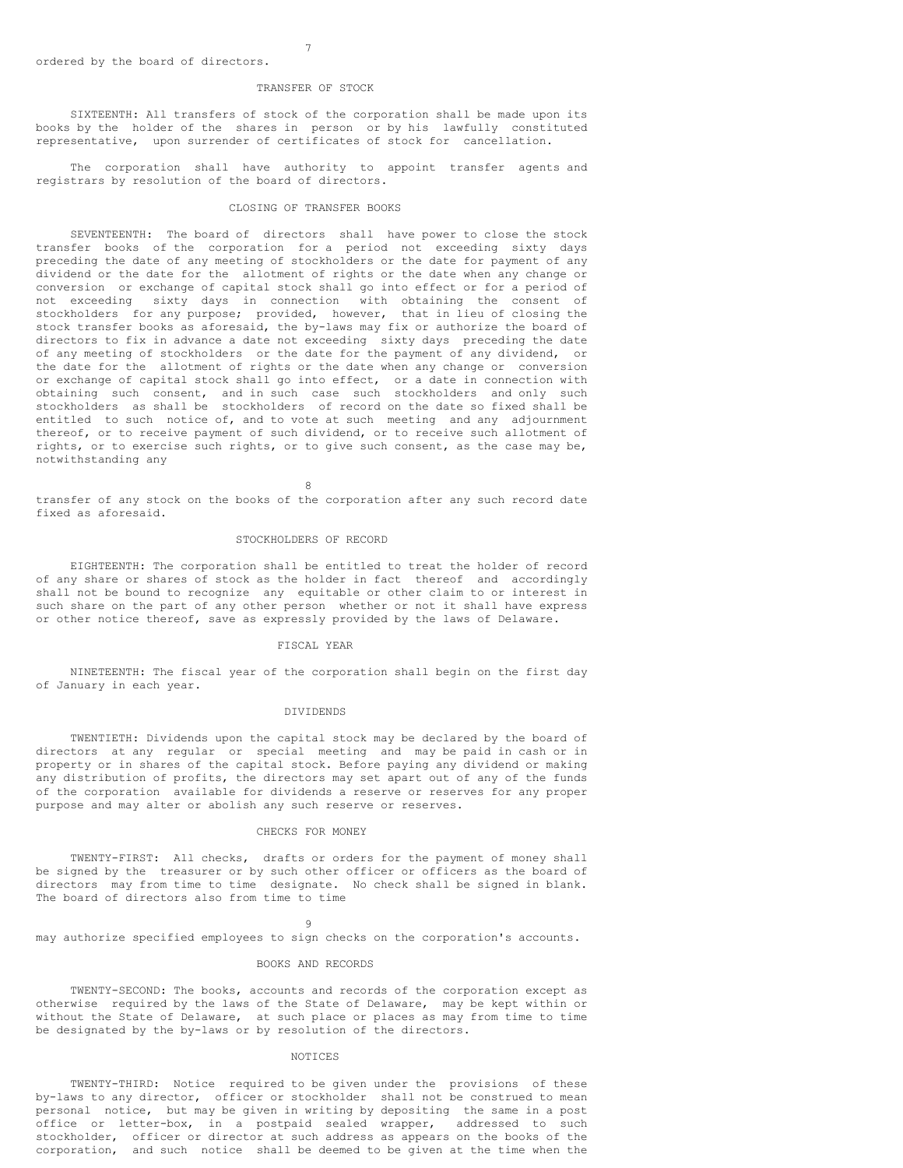## TRANSFER OF STOCK

7

SIXTEENTH: All transfers of stock of the corporation shall be made upon its books by the holder of the shares in person or by his lawfully constituted representative, upon surrender of certificates of stock for cancellation.

The corporation shall have authority to appoint transfer agents and registrars by resolution of the board of directors.

#### CLOSING OF TRANSFER BOOKS

SEVENTEENTH: The board of directors shall have power to close the stock transfer books of the corporation for a period not exceeding sixty days preceding the date of any meeting of stockholders or the date for payment of any dividend or the date for the allotment of rights or the date when any change or conversion or exchange of capital stock shall go into effect or for a period of not exceeding sixty days in connection with obtaining the consent of stockholders for any purpose; provided, however, that in lieu of closing the stock transfer books as aforesaid, the by-laws may fix or authorize the board of directors to fix in advance a date not exceeding sixty days preceding the date of any meeting of stockholders or the date for the payment of any dividend, or the date for the allotment of rights or the date when any change or conversion or exchange of capital stock shall go into effect, or a date in connection with obtaining such consent, and in such case such stockholders and only such stockholders as shall be stockholders of record on the date so fixed shall be entitled to such notice of, and to vote at such meeting and any adjournment thereof, or to receive payment of such dividend, or to receive such allotment of rights, or to exercise such rights, or to give such consent, as the case may be, notwithstanding any

8

transfer of any stock on the books of the corporation after any such record date fixed as aforesaid.

#### STOCKHOLDERS OF RECORD

EIGHTEENTH: The corporation shall be entitled to treat the holder of record of any share or shares of stock as the holder in fact thereof and accordingly shall not be bound to recognize any equitable or other claim to or interest in such share on the part of any other person whether or not it shall have express or other notice thereof, save as expressly provided by the laws of Delaware.

#### FISCAL YEAR

NINETEENTH: The fiscal year of the corporation shall begin on the first day of January in each year.

#### DIVIDENDS

TWENTIETH: Dividends upon the capital stock may be declared by the board of directors at any regular or special meeting and may be paid in cash or in property or in shares of the capital stock. Before paying any dividend or making any distribution of profits, the directors may set apart out of any of the funds of the corporation available for dividends a reserve or reserves for any proper purpose and may alter or abolish any such reserve or reserves.

#### CHECKS FOR MONEY

TWENTY-FIRST: All checks, drafts or orders for the payment of money shall be signed by the treasurer or by such other officer or officers as the board of directors may from time to time designate. No check shall be signed in blank. The board of directors also from time to time

9

### may authorize specified employees to sign checks on the corporation's accounts.

#### BOOKS AND RECORDS

TWENTY-SECOND: The books, accounts and records of the corporation except as otherwise required by the laws of the State of Delaware, may be kept within or without the State of Delaware, at such place or places as may from time to time be designated by the by-laws or by resolution of the directors.

#### NOTICES

TWENTY-THIRD: Notice required to be given under the provisions of these by-laws to any director, officer or stockholder shall not be construed to mean personal notice, but may be given in writing by depositing the same in a post office or letter-box, in a postpaid sealed wrapper, addressed to such stockholder, officer or director at such address as appears on the books of the corporation, and such notice shall be deemed to be given at the time when the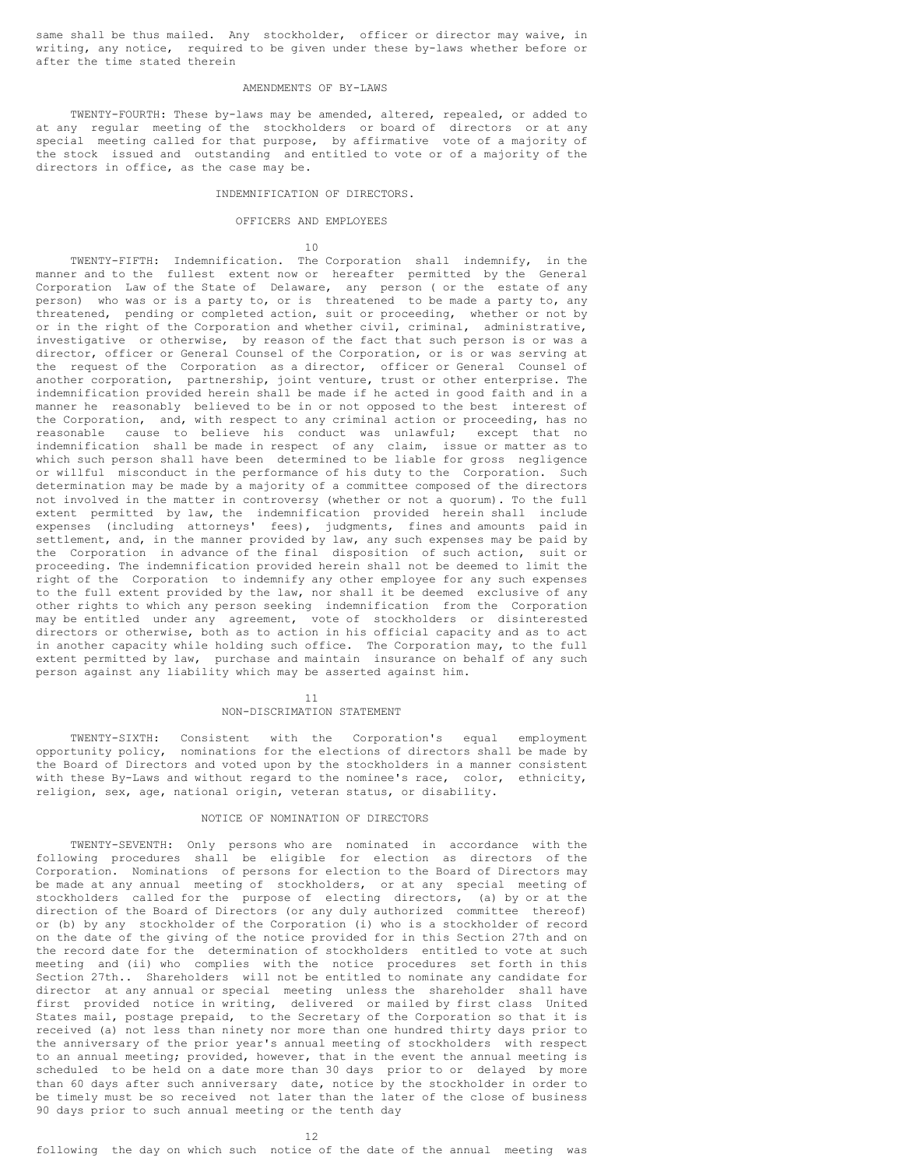same shall be thus mailed. Any stockholder, officer or director may waive, in writing, any notice, required to be given under these by-laws whether before or after the time stated therein

#### AMENDMENTS OF BY-LAWS

TWENTY-FOURTH: These by-laws may be amended, altered, repealed, or added to at any regular meeting of the stockholders or board of directors or at any special meeting called for that purpose, by affirmative vote of a majority of the stock issued and outstanding and entitled to vote or of a majority of the directors in office, as the case may be.

INDEMNIFICATION OF DIRECTORS.

#### OFFICERS AND EMPLOYEES

10

TWENTY-FIFTH: Indemnification. The Corporation shall indemnify, in the manner and to the fullest extent now or hereafter permitted by the General Corporation Law of the State of Delaware, any person ( or the estate of any person) who was or is a party to, or is threatened to be made a party to, any threatened, pending or completed action, suit or proceeding, whether or not by or in the right of the Corporation and whether civil, criminal, administrative, investigative or otherwise, by reason of the fact that such person is or was a director, officer or General Counsel of the Corporation, or is or was serving at the request of the Corporation as a director, officer or General Counsel of another corporation, partnership, joint venture, trust or other enterprise. The indemnification provided herein shall be made if he acted in good faith and in a manner he reasonably believed to be in or not opposed to the best interest of the Corporation, and, with respect to any criminal action or proceeding, has no reasonable cause to believe his conduct was unlawful; except that no indemnification shall be made in respect of any claim, issue or matter as to which such person shall have been determined to be liable for gross negligence or willful misconduct in the performance of his duty to the Corporation. Such determination may be made by a majority of a committee composed of the directors not involved in the matter in controversy (whether or not a quorum). To the full extent permitted by law, the indemnification provided herein shall include expenses (including attorneys' fees), judgments, fines and amounts paid in settlement, and, in the manner provided by law, any such expenses may be paid by the Corporation in advance of the final disposition of such action, suit or proceeding. The indemnification provided herein shall not be deemed to limit the right of the Corporation to indemnify any other employee for any such expenses to the full extent provided by the law, nor shall it be deemed exclusive of any other rights to which any person seeking indemnification from the Corporation may be entitled under any agreement, vote of stockholders or disinterested directors or otherwise, both as to action in his official capacity and as to act in another capacity while holding such office. The Corporation may, to the full extent permitted by law, purchase and maintain insurance on behalf of any such person against any liability which may be asserted against him.

#### 11 NON-DISCRIMATION STATEMENT

TWENTY-SIXTH: Consistent with the Corporation's equal employment opportunity policy, nominations for the elections of directors shall be made by the Board of Directors and voted upon by the stockholders in a manner consistent with these By-Laws and without regard to the nominee's race, color, ethnicity, religion, sex, age, national origin, veteran status, or disability.

## NOTICE OF NOMINATION OF DIRECTORS

TWENTY-SEVENTH: Only persons who are nominated in accordance with the following procedures shall be eligible for election as directors of the Corporation. Nominations of persons for election to the Board of Directors may be made at any annual meeting of stockholders, or at any special meeting of stockholders called for the purpose of electing directors, (a) by or at the direction of the Board of Directors (or any duly authorized committee thereof) or (b) by any stockholder of the Corporation (i) who is a stockholder of record on the date of the giving of the notice provided for in this Section 27th and on the record date for the determination of stockholders entitled to vote at such meeting and (ii) who complies with the notice procedures set forth in this Section 27th.. Shareholders will not be entitled to nominate any candidate for director at any annual or special meeting unless the shareholder shall have first provided notice in writing, delivered or mailed by first class United States mail, postage prepaid, to the Secretary of the Corporation so that it is received (a) not less than ninety nor more than one hundred thirty days prior to the anniversary of the prior year's annual meeting of stockholders with respect to an annual meeting; provided, however, that in the event the annual meeting is scheduled to be held on a date more than 30 days prior to or delayed by more than 60 days after such anniversary date, notice by the stockholder in order to be timely must be so received not later than the later of the close of business 90 days prior to such annual meeting or the tenth day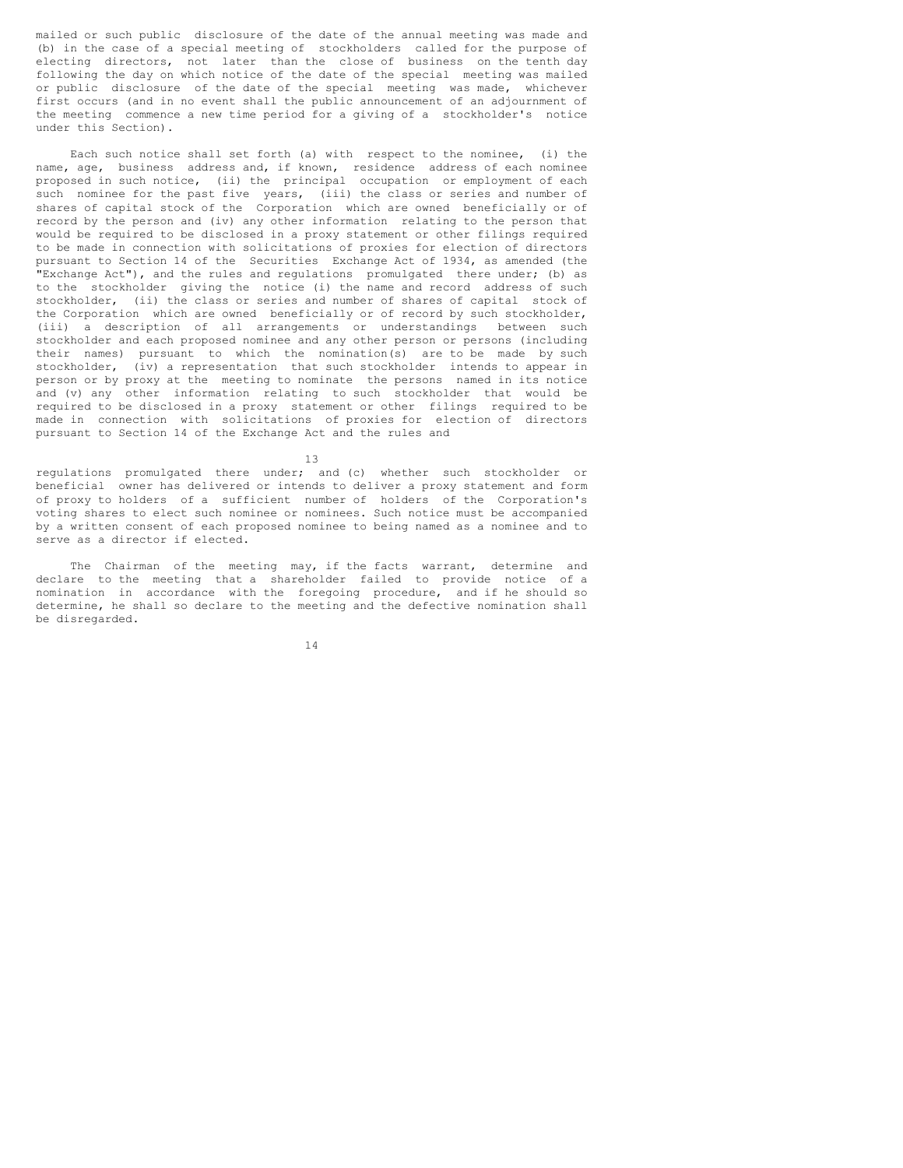mailed or such public disclosure of the date of the annual meeting was made and (b) in the case of a special meeting of stockholders called for the purpose of electing directors, not later than the close of business on the tenth day following the day on which notice of the date of the special meeting was mailed or public disclosure of the date of the special meeting was made, whichever first occurs (and in no event shall the public announcement of an adjournment of the meeting commence a new time period for a giving of a stockholder's notice under this Section).

Each such notice shall set forth (a) with respect to the nominee, (i) the name, age, business address and, if known, residence address of each nominee proposed in such notice, (ii) the principal occupation or employment of each such nominee for the past five years, (iii) the class or series and number of shares of capital stock of the Corporation which are owned beneficially or of record by the person and (iv) any other information relating to the person that would be required to be disclosed in a proxy statement or other filings required to be made in connection with solicitations of proxies for election of directors pursuant to Section 14 of the Securities Exchange Act of 1934, as amended (the "Exchange Act"), and the rules and regulations promulgated there under; (b) as to the stockholder giving the notice (i) the name and record address of such stockholder, (ii) the class or series and number of shares of capital stock of the Corporation which are owned beneficially or of record by such stockholder, (iii) a description of all arrangements or understandings between such stockholder and each proposed nominee and any other person or persons (including their names) pursuant to which the nomination(s) are to be made by such stockholder, (iv) a representation that such stockholder intends to appear in person or by proxy at the meeting to nominate the persons named in its notice and (v) any other information relating to such stockholder that would be required to be disclosed in a proxy statement or other filings required to be made in connection with solicitations of proxies for election of directors pursuant to Section 14 of the Exchange Act and the rules and

13

regulations promulgated there under; and (c) whether such stockholder or beneficial owner has delivered or intends to deliver a proxy statement and form of proxy to holders of a sufficient number of holders of the Corporation's voting shares to elect such nominee or nominees. Such notice must be accompanied by a written consent of each proposed nominee to being named as a nominee and to serve as a director if elected.

The Chairman of the meeting may, if the facts warrant, determine and declare to the meeting that a shareholder failed to provide notice of a nomination in accordance with the foregoing procedure, and if he should so determine, he shall so declare to the meeting and the defective nomination shall be disregarded.

14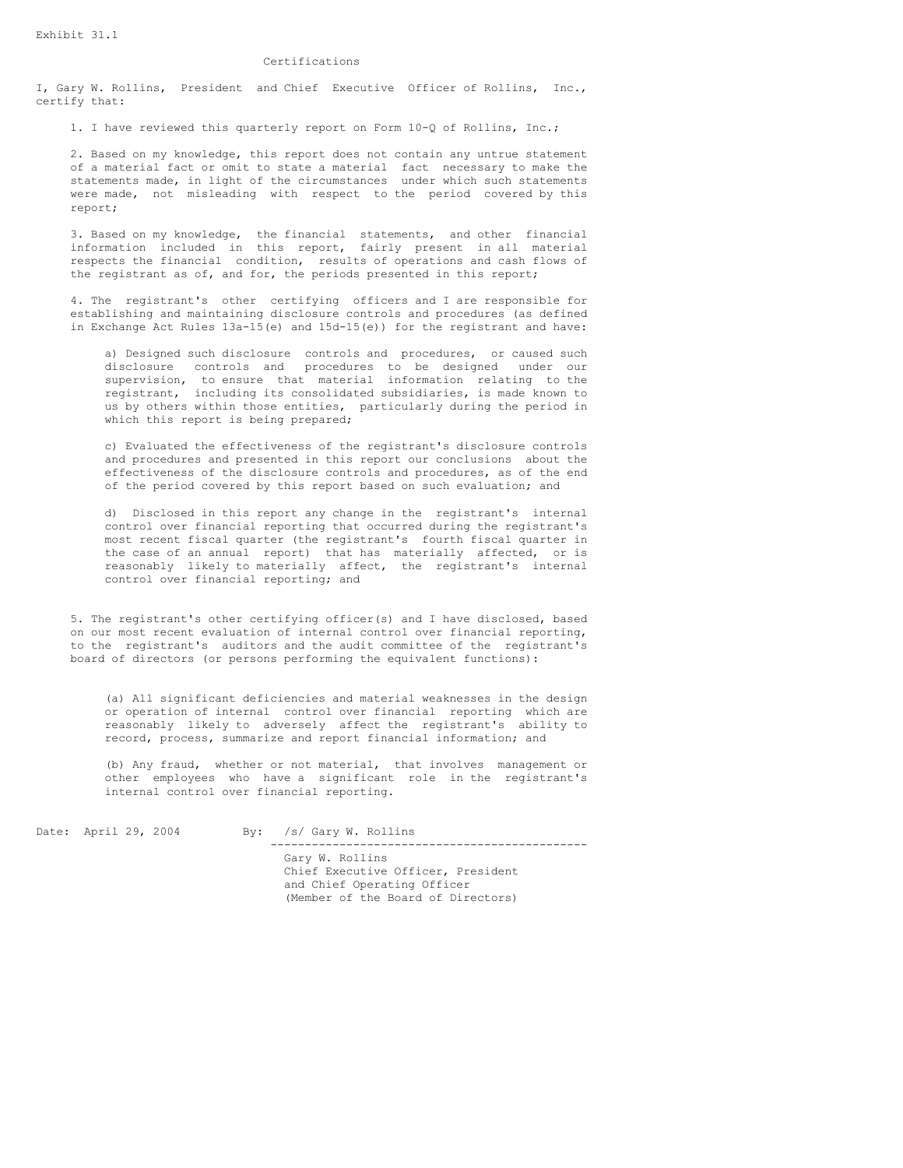## Certifications

I, Gary W. Rollins, President and Chief Executive Officer of Rollins, Inc., certify that:

1. I have reviewed this quarterly report on Form 10-Q of Rollins, Inc.;

2. Based on my knowledge, this report does not contain any untrue statement of a material fact or omit to state a material fact necessary to make the statements made, in light of the circumstances under which such statements were made, not misleading with respect to the period covered by this report;

3. Based on my knowledge, the financial statements, and other financial information included in this report, fairly present in all material respects the financial condition, results of operations and cash flows of the registrant as of, and for, the periods presented in this report;

4. The registrant's other certifying officers and I are responsible for establishing and maintaining disclosure controls and procedures (as defined in Exchange Act Rules 13a-15(e) and 15d-15(e)) for the registrant and have:

a) Designed such disclosure controls and procedures, or caused such disclosure controls and procedures to be designed under our supervision, to ensure that material information relating to the registrant, including its consolidated subsidiaries, is made known to us by others within those entities, particularly during the period in which this report is being prepared;

c) Evaluated the effectiveness of the registrant's disclosure controls and procedures and presented in this report our conclusions about the effectiveness of the disclosure controls and procedures, as of the end of the period covered by this report based on such evaluation; and

d) Disclosed in this report any change in the registrant's internal control over financial reporting that occurred during the registrant's most recent fiscal quarter (the registrant's fourth fiscal quarter in the case of an annual report) that has materially affected, or is reasonably likely to materially affect, the registrant's internal control over financial reporting; and

5. The registrant's other certifying officer(s) and I have disclosed, based on our most recent evaluation of internal control over financial reporting, to the registrant's auditors and the audit committee of the registrant's board of directors (or persons performing the equivalent functions):

(a) All significant deficiencies and material weaknesses in the design or operation of internal control over financial reporting which are reasonably likely to adversely affect the registrant's ability to record, process, summarize and report financial information; and

(b) Any fraud, whether or not material, that involves management or other employees who have a significant role in the registrant's internal control over financial reporting.

Date: April 29, 2004 By: /s/ Gary W. Rollins

---------------------------------------------- Gary W. Rollins Chief Executive Officer, President and Chief Operating Officer (Member of the Board of Directors)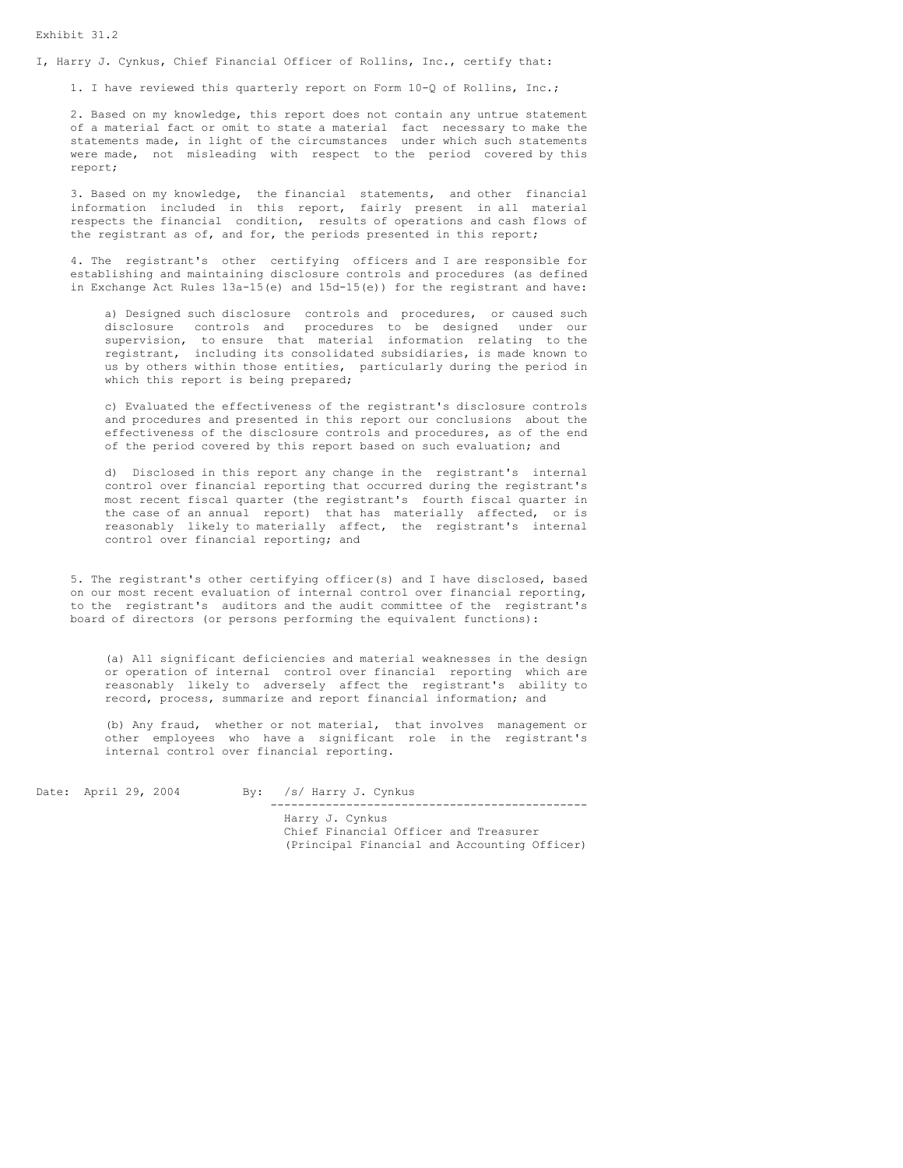Exhibit 31.2

I, Harry J. Cynkus, Chief Financial Officer of Rollins, Inc., certify that:

1. I have reviewed this quarterly report on Form 10-Q of Rollins, Inc.;

2. Based on my knowledge, this report does not contain any untrue statement of a material fact or omit to state a material fact necessary to make the statements made, in light of the circumstances under which such statements were made, not misleading with respect to the period covered by this report;

3. Based on my knowledge, the financial statements, and other financial information included in this report, fairly present in all material respects the financial condition, results of operations and cash flows of the registrant as of, and for, the periods presented in this report;

4. The registrant's other certifying officers and I are responsible for establishing and maintaining disclosure controls and procedures (as defined in Exchange Act Rules 13a-15(e) and 15d-15(e)) for the registrant and have:

a) Designed such disclosure controls and procedures, or caused such disclosure controls and procedures to be designed under our supervision, to ensure that material information relating to the registrant, including its consolidated subsidiaries, is made known to us by others within those entities, particularly during the period in which this report is being prepared;

c) Evaluated the effectiveness of the registrant's disclosure controls and procedures and presented in this report our conclusions about the effectiveness of the disclosure controls and procedures, as of the end of the period covered by this report based on such evaluation; and

d) Disclosed in this report any change in the registrant's internal control over financial reporting that occurred during the registrant's most recent fiscal quarter (the registrant's fourth fiscal quarter in the case of an annual report) that has materially affected, or is reasonably likely to materially affect, the registrant's internal control over financial reporting; and

5. The registrant's other certifying officer(s) and I have disclosed, based on our most recent evaluation of internal control over financial reporting, to the registrant's auditors and the audit committee of the registrant's board of directors (or persons performing the equivalent functions):

(a) All significant deficiencies and material weaknesses in the design or operation of internal control over financial reporting which are reasonably likely to adversely affect the registrant's ability to record, process, summarize and report financial information; and

(b) Any fraud, whether or not material, that involves management or other employees who have a significant role in the registrant's internal control over financial reporting.

Date: April 29, 2004 By: /s/ Harry J. Cynkus

---------------------------------------------- Harry J. Cynkus Chief Financial Officer and Treasurer (Principal Financial and Accounting Officer)